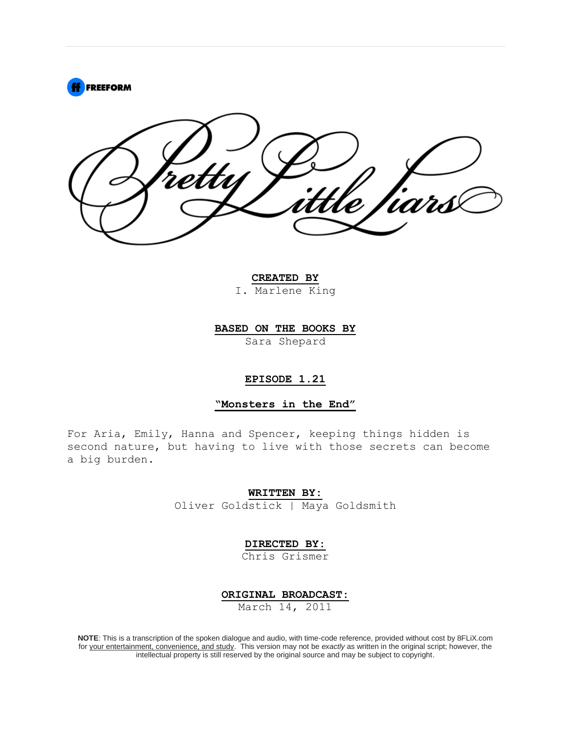

**CREATED BY**

I. Marlene King

**BASED ON THE BOOKS BY**

Sara Shepard

## **EPISODE 1.21**

**"Monsters in the End"**

For Aria, Emily, Hanna and Spencer, keeping things hidden is second nature, but having to live with those secrets can become a big burden.

**WRITTEN BY:**

Oliver Goldstick | Maya Goldsmith

**DIRECTED BY:**

Chris Grismer

**ORIGINAL BROADCAST:**

March 14, 2011

**NOTE**: This is a transcription of the spoken dialogue and audio, with time-code reference, provided without cost by 8FLiX.com for your entertainment, convenience, and study. This version may not be *exactly* as written in the original script; however, the intellectual property is still reserved by the original source and may be subject to copyright.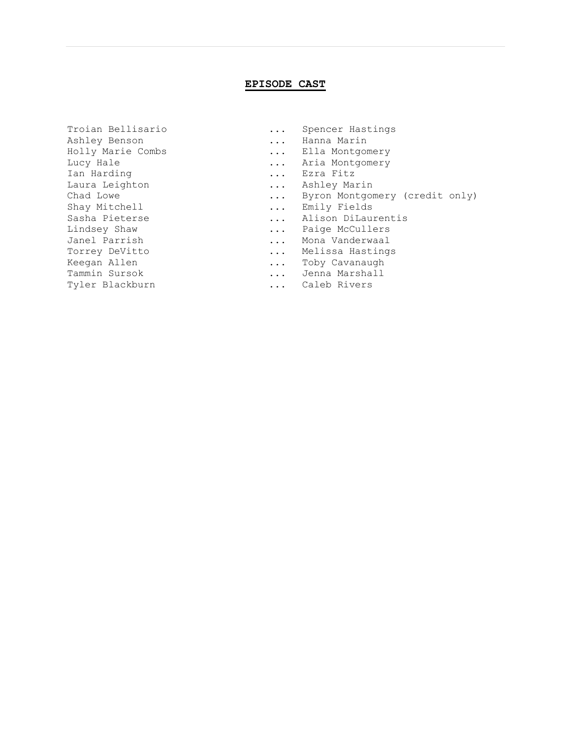## **EPISODE CAST**

Ashley Benson ... Hanna Marin Holly Marie Combs ... Ella Montgomery Lucy Hale  $\ldots$  Aria Montgomery Ian Harding ... Ezra Fitz Laura Leighton ... Ashley Marin Shay Mitchell **Example 20** 1... Emily Fields Lindsey Shaw ... Paige McCullers Janel Parrish ... Mona Vanderwaal Torrey DeVitto ... Melissa Hastings Keegan Allen ... Toby Cavanaugh Tammin Sursok ... Jenna Marshall Tyler Blackburn ... Caleb Rivers

- Troian Bellisario ... Spencer Hastings
	-
	-
	-
	-
	-
- Chad Lowe ... Byron Montgomery (credit only)
	-
- Sasha Pieterse ... Alison DiLaurentis
	-
	-
	-
	-
	-
	-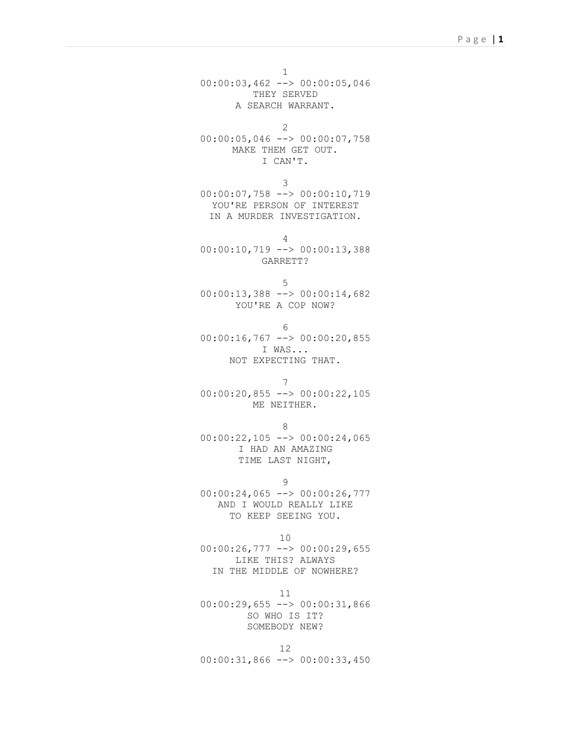1 00:00:03,462 --> 00:00:05,046 THEY SERVED A SEARCH WARRANT.

2 00:00:05,046 --> 00:00:07,758 MAKE THEM GET OUT. I CAN'T.

3 00:00:07,758 --> 00:00:10,719 YOU'RE PERSON OF INTEREST IN A MURDER INVESTIGATION.

4 00:00:10,719 --> 00:00:13,388 GARRETT?

5 00:00:13,388 --> 00:00:14,682 YOU'RE A COP NOW?

6 00:00:16,767 --> 00:00:20,855 I WAS... NOT EXPECTING THAT.

7 00:00:20,855 --> 00:00:22,105 ME NEITHER.

8 00:00:22,105 --> 00:00:24,065 I HAD AN AMAZING TIME LAST NIGHT,

9 00:00:24,065 --> 00:00:26,777 AND I WOULD REALLY LIKE TO KEEP SEEING YOU.

10 00:00:26,777 --> 00:00:29,655 LIKE THIS? ALWAYS IN THE MIDDLE OF NOWHERE?

11 00:00:29,655 --> 00:00:31,866 SO WHO IS IT? SOMEBODY NEW?

12 00:00:31,866 --> 00:00:33,450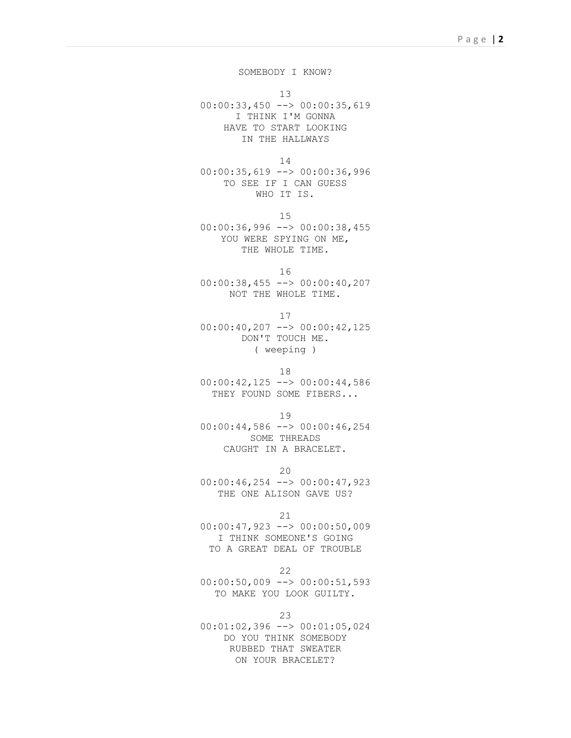SOMEBODY I KNOW?

13

00:00:33,450 --> 00:00:35,619 I THINK I'M GONNA HAVE TO START LOOKING IN THE HALLWAYS

14

00:00:35,619 --> 00:00:36,996 TO SEE IF I CAN GUESS WHO IT IS.

15

00:00:36,996 --> 00:00:38,455 YOU WERE SPYING ON ME, THE WHOLE TIME.

16

00:00:38,455 --> 00:00:40,207 NOT THE WHOLE TIME.

17

00:00:40,207 --> 00:00:42,125 DON'T TOUCH ME. ( weeping )

18

00:00:42,125 --> 00:00:44,586 THEY FOUND SOME FIBERS...

19

00:00:44,586 --> 00:00:46,254 SOME THREADS CAUGHT IN A BRACELET.

20

00:00:46,254 --> 00:00:47,923 THE ONE ALISON GAVE US?

21

00:00:47,923 --> 00:00:50,009 I THINK SOMEONE'S GOING TO A GREAT DEAL OF TROUBLE

22

 $00:00:50,009$  -->  $00:00:51,593$ TO MAKE YOU LOOK GUILTY.

23

00:01:02,396 --> 00:01:05,024 DO YOU THINK SOMEBODY RUBBED THAT SWEATER ON YOUR BRACELET?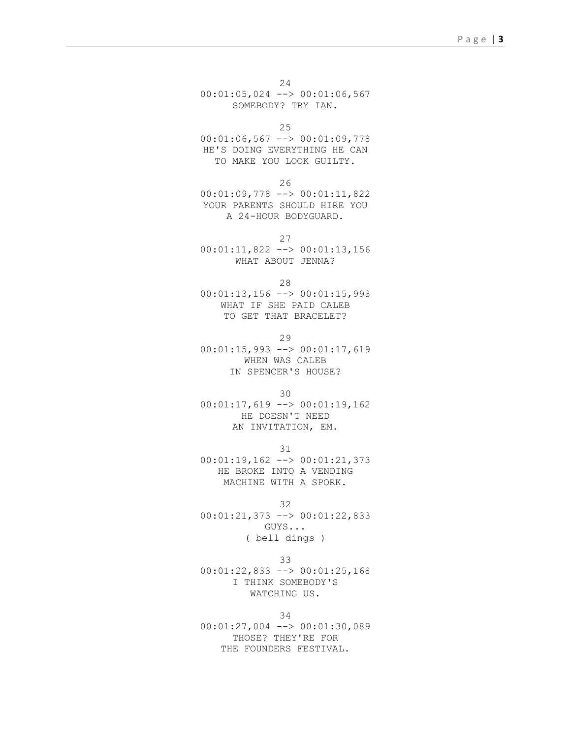24 00:01:05,024 --> 00:01:06,567 SOMEBODY? TRY IAN.

25

00:01:06,567 --> 00:01:09,778 HE'S DOING EVERYTHING HE CAN TO MAKE YOU LOOK GUILTY.

26

00:01:09,778 --> 00:01:11,822 YOUR PARENTS SHOULD HIRE YOU A 24-HOUR BODYGUARD.

27

00:01:11,822 --> 00:01:13,156 WHAT ABOUT JENNA?

28

00:01:13,156 --> 00:01:15,993 WHAT IF SHE PAID CALEB TO GET THAT BRACELET?

29

00:01:15,993 --> 00:01:17,619 WHEN WAS CALEB IN SPENCER'S HOUSE?

30

00:01:17,619 --> 00:01:19,162 HE DOESN'T NEED AN INVITATION, EM.

31

00:01:19,162 --> 00:01:21,373 HE BROKE INTO A VENDING MACHINE WITH A SPORK.

32

00:01:21,373 --> 00:01:22,833 GUYS... ( bell dings )

33

00:01:22,833 --> 00:01:25,168 I THINK SOMEBODY'S WATCHING US.

34

00:01:27,004 --> 00:01:30,089 THOSE? THEY'RE FOR THE FOUNDERS FESTIVAL.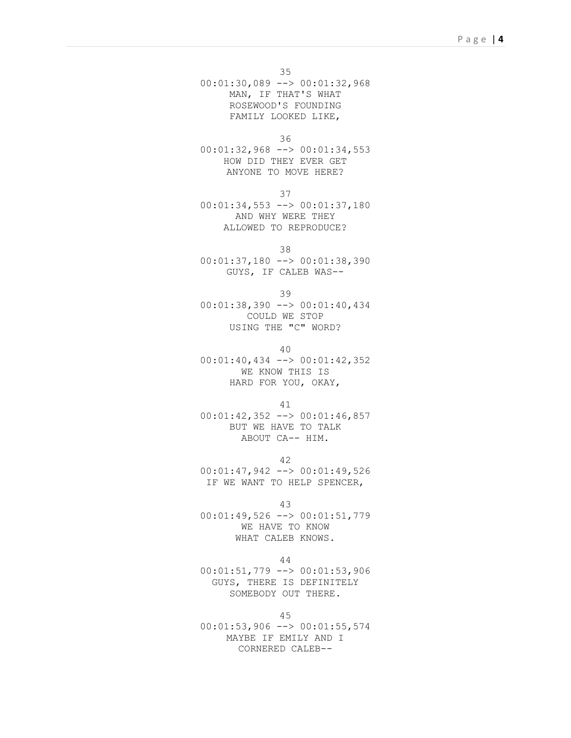35

00:01:30,089 --> 00:01:32,968 MAN, IF THAT'S WHAT ROSEWOOD'S FOUNDING FAMILY LOOKED LIKE,

36

00:01:32,968 --> 00:01:34,553 HOW DID THEY EVER GET ANYONE TO MOVE HERE?

37

00:01:34,553 --> 00:01:37,180 AND WHY WERE THEY ALLOWED TO REPRODUCE?

38

00:01:37,180 --> 00:01:38,390 GUYS, IF CALEB WAS--

39

00:01:38,390 --> 00:01:40,434 COULD WE STOP USING THE "C" WORD?

40

00:01:40,434 --> 00:01:42,352 WE KNOW THIS IS HARD FOR YOU, OKAY,

41

00:01:42,352 --> 00:01:46,857 BUT WE HAVE TO TALK ABOUT CA-- HIM.

42 00:01:47,942 --> 00:01:49,526 IF WE WANT TO HELP SPENCER,

43

00:01:49,526 --> 00:01:51,779 WE HAVE TO KNOW WHAT CALEB KNOWS.

44

00:01:51,779 --> 00:01:53,906 GUYS, THERE IS DEFINITELY SOMEBODY OUT THERE.

45

00:01:53,906 --> 00:01:55,574 MAYBE IF EMILY AND I CORNERED CALEB--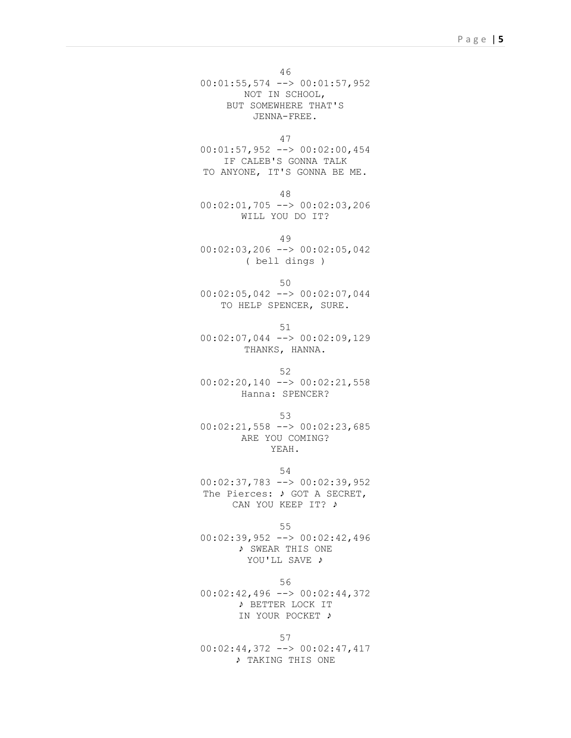46

00:01:55,574 --> 00:01:57,952 NOT IN SCHOOL, BUT SOMEWHERE THAT'S JENNA-FREE.

47

00:01:57,952 --> 00:02:00,454 IF CALEB'S GONNA TALK TO ANYONE, IT'S GONNA BE ME.

48

00:02:01,705 --> 00:02:03,206 WILL YOU DO IT?

49

00:02:03,206 --> 00:02:05,042 ( bell dings )

50

00:02:05,042 --> 00:02:07,044 TO HELP SPENCER, SURE.

51

00:02:07,044 --> 00:02:09,129 THANKS, HANNA.

52 00:02:20,140 --> 00:02:21,558 Hanna: SPENCER?

53

 $00:02:21,558$  -->  $00:02:23,685$ ARE YOU COMING? YEAH.

54

00:02:37,783 --> 00:02:39,952 The Pierces: ♪ GOT A SECRET, CAN YOU KEEP IT? ♪

55

00:02:39,952 --> 00:02:42,496 ♪ SWEAR THIS ONE YOU'LL SAVE ♪

56 00:02:42,496 --> 00:02:44,372 ♪ BETTER LOCK IT

## IN YOUR POCKET ♪

57 00:02:44,372 --> 00:02:47,417 ♪ TAKING THIS ONE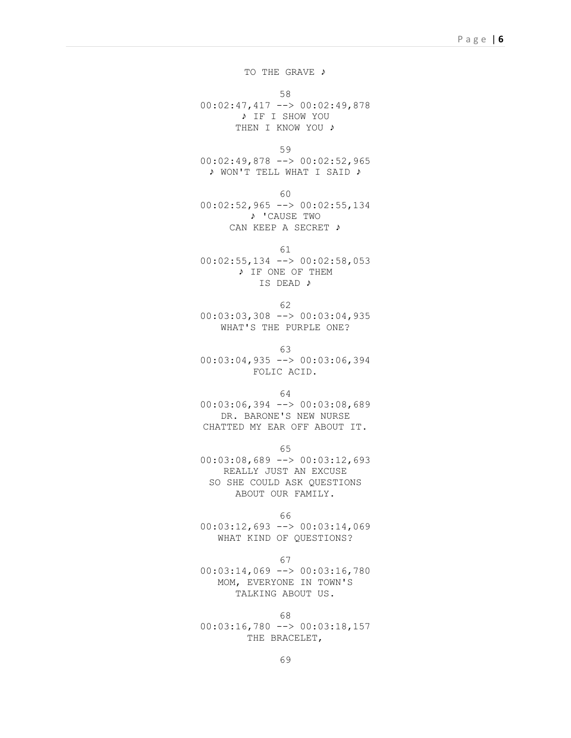TO THE GRAVE ♪

58

00:02:47,417 --> 00:02:49,878 ♪ IF I SHOW YOU THEN I KNOW YOU ♪

59

00:02:49,878 --> 00:02:52,965 ♪ WON'T TELL WHAT I SAID ♪

60

00:02:52,965 --> 00:02:55,134 ♪ 'CAUSE TWO CAN KEEP A SECRET ♪

61

00:02:55,134 --> 00:02:58,053 ♪ IF ONE OF THEM IS DEAD ♪

62

00:03:03,308 --> 00:03:04,935 WHAT'S THE PURPLE ONE?

63

00:03:04,935 --> 00:03:06,394 FOLIC ACID.

64

00:03:06,394 --> 00:03:08,689 DR. BARONE'S NEW NURSE CHATTED MY EAR OFF ABOUT IT.

65

00:03:08,689 --> 00:03:12,693 REALLY JUST AN EXCUSE SO SHE COULD ASK QUESTIONS ABOUT OUR FAMILY.

66

00:03:12,693 --> 00:03:14,069 WHAT KIND OF QUESTIONS?

67

00:03:14,069 --> 00:03:16,780 MOM, EVERYONE IN TOWN'S TALKING ABOUT US.

68

 $00:03:16,780$  -->  $00:03:18,157$ THE BRACELET,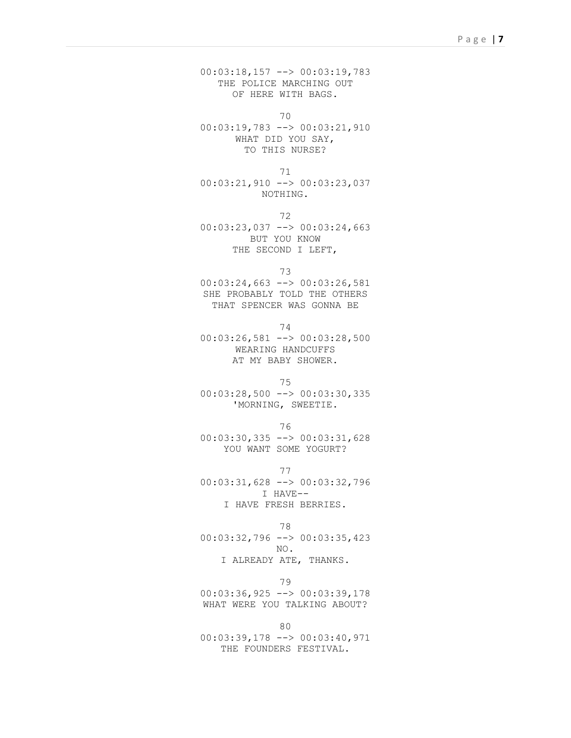00:03:18,157 --> 00:03:19,783 THE POLICE MARCHING OUT OF HERE WITH BAGS.

70

00:03:19,783 --> 00:03:21,910 WHAT DID YOU SAY, TO THIS NURSE?

71 00:03:21,910 --> 00:03:23,037 NOTHING.

72 00:03:23,037 --> 00:03:24,663 BUT YOU KNOW THE SECOND I LEFT,

73

00:03:24,663 --> 00:03:26,581 SHE PROBABLY TOLD THE OTHERS THAT SPENCER WAS GONNA BE

74

00:03:26,581 --> 00:03:28,500 WEARING HANDCUFFS AT MY BABY SHOWER.

75 00:03:28,500 --> 00:03:30,335 'MORNING, SWEETIE.

76

00:03:30,335 --> 00:03:31,628 YOU WANT SOME YOGURT?

77 00:03:31,628 --> 00:03:32,796 I HAVE-- I HAVE FRESH BERRIES.

78 00:03:32,796 --> 00:03:35,423 NO. I ALREADY ATE, THANKS.

79 00:03:36,925 --> 00:03:39,178 WHAT WERE YOU TALKING ABOUT?

80 00:03:39,178 --> 00:03:40,971 THE FOUNDERS FESTIVAL.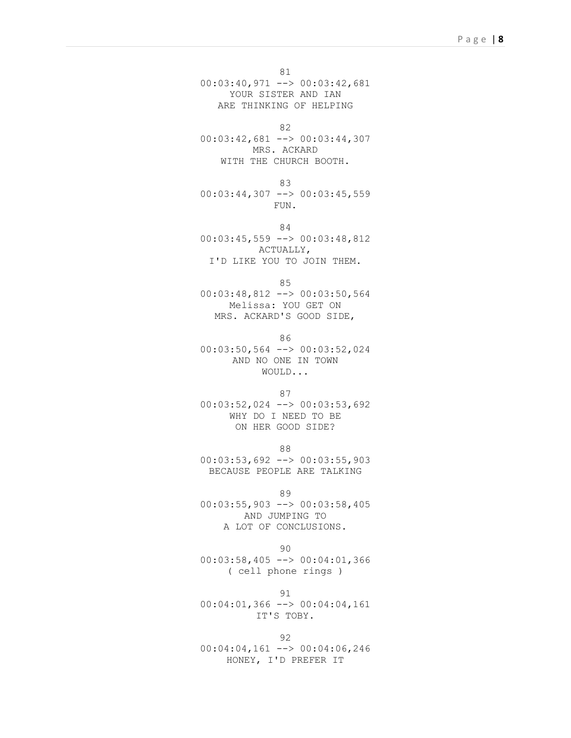81 00:03:40,971 --> 00:03:42,681 YOUR SISTER AND IAN ARE THINKING OF HELPING

82

00:03:42,681 --> 00:03:44,307 MRS. ACKARD WITH THE CHURCH BOOTH.

83 00:03:44,307 --> 00:03:45,559 FUN.

84 00:03:45,559 --> 00:03:48,812 ACTUALLY, I'D LIKE YOU TO JOIN THEM.

85

00:03:48,812 --> 00:03:50,564 Melissa: YOU GET ON MRS. ACKARD'S GOOD SIDE,

86

00:03:50,564 --> 00:03:52,024 AND NO ONE IN TOWN WOULD...

87

00:03:52,024 --> 00:03:53,692 WHY DO I NEED TO BE ON HER GOOD SIDE?

88

00:03:53,692 --> 00:03:55,903 BECAUSE PEOPLE ARE TALKING

89

00:03:55,903 --> 00:03:58,405 AND JUMPING TO A LOT OF CONCLUSIONS.

90

00:03:58,405 --> 00:04:01,366 ( cell phone rings )

91

00:04:01,366 --> 00:04:04,161 IT'S TOBY.

92

00:04:04,161 --> 00:04:06,246 HONEY, I'D PREFER IT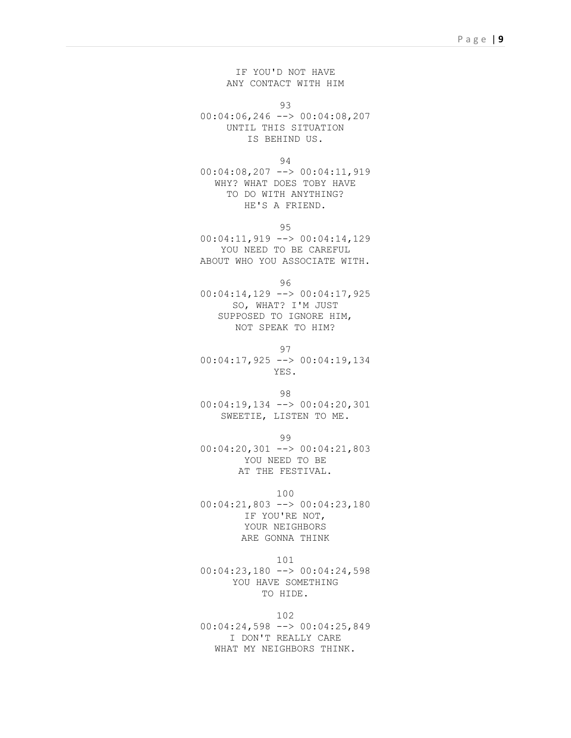IF YOU'D NOT HAVE ANY CONTACT WITH HIM

93

00:04:06,246 --> 00:04:08,207 UNTIL THIS SITUATION IS BEHIND US.

94

00:04:08,207 --> 00:04:11,919 WHY? WHAT DOES TOBY HAVE TO DO WITH ANYTHING? HE'S A FRIEND.

95

00:04:11,919 --> 00:04:14,129 YOU NEED TO BE CAREFUL ABOUT WHO YOU ASSOCIATE WITH.

96

00:04:14,129 --> 00:04:17,925 SO, WHAT? I'M JUST SUPPOSED TO IGNORE HIM, NOT SPEAK TO HIM?

97

00:04:17,925 --> 00:04:19,134 YES.

98 00:04:19,134 --> 00:04:20,301 SWEETIE, LISTEN TO ME.

99

00:04:20,301 --> 00:04:21,803 YOU NEED TO BE AT THE FESTIVAL.

100

00:04:21,803 --> 00:04:23,180 IF YOU'RE NOT, YOUR NEIGHBORS ARE GONNA THINK

101

00:04:23,180 --> 00:04:24,598 YOU HAVE SOMETHING TO HIDE.

102

00:04:24,598 --> 00:04:25,849 I DON'T REALLY CARE WHAT MY NEIGHBORS THINK.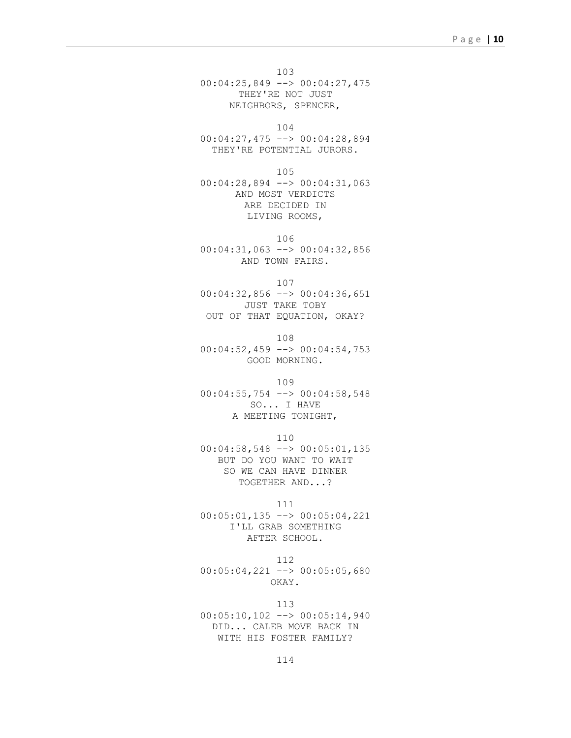103

00:04:25,849 --> 00:04:27,475 THEY'RE NOT JUST NEIGHBORS, SPENCER,

104

00:04:27,475 --> 00:04:28,894 THEY'RE POTENTIAL JURORS.

105

00:04:28,894 --> 00:04:31,063 AND MOST VERDICTS ARE DECIDED IN LIVING ROOMS,

106

00:04:31,063 --> 00:04:32,856 AND TOWN FAIRS.

107

00:04:32,856 --> 00:04:36,651 JUST TAKE TOBY OUT OF THAT EQUATION, OKAY?

108 00:04:52,459 --> 00:04:54,753 GOOD MORNING.

109

00:04:55,754 --> 00:04:58,548 SO... I HAVE A MEETING TONIGHT,

110

00:04:58,548 --> 00:05:01,135 BUT DO YOU WANT TO WAIT SO WE CAN HAVE DINNER TOGETHER AND...?

111

00:05:01,135 --> 00:05:04,221 I'LL GRAB SOMETHING AFTER SCHOOL.

112 00:05:04,221 --> 00:05:05,680 OKAY.

113 00:05:10,102 --> 00:05:14,940 DID... CALEB MOVE BACK IN WITH HIS FOSTER FAMILY?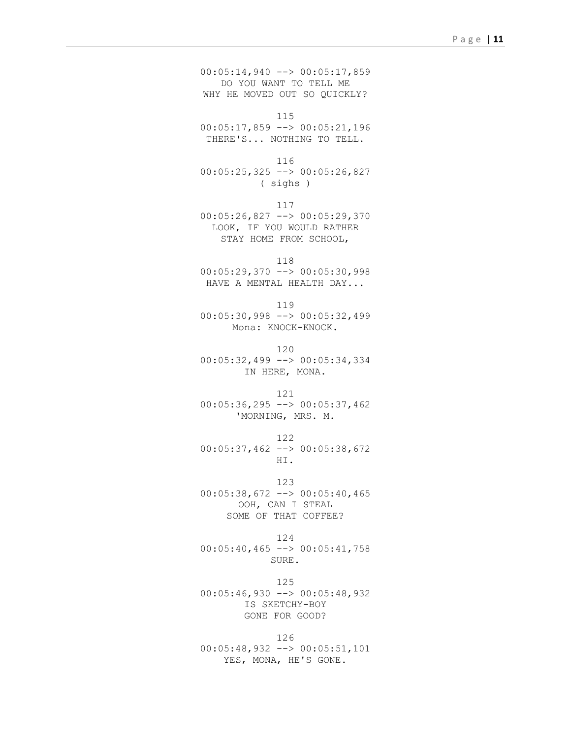00:05:14,940 --> 00:05:17,859 DO YOU WANT TO TELL ME WHY HE MOVED OUT SO OUICKLY?

115

00:05:17,859 --> 00:05:21,196 THERE'S... NOTHING TO TELL.

116

00:05:25,325 --> 00:05:26,827 ( sighs )

117 00:05:26,827 --> 00:05:29,370 LOOK, IF YOU WOULD RATHER STAY HOME FROM SCHOOL,

118 00:05:29,370 --> 00:05:30,998 HAVE A MENTAL HEALTH DAY...

119

00:05:30,998 --> 00:05:32,499 Mona: KNOCK-KNOCK.

120

00:05:32,499 --> 00:05:34,334 IN HERE, MONA.

121

00:05:36,295 --> 00:05:37,462 'MORNING, MRS. M.

122

00:05:37,462 --> 00:05:38,672 HI.

123 00:05:38,672 --> 00:05:40,465 OOH, CAN I STEAL SOME OF THAT COFFEE?

124 00:05:40,465 --> 00:05:41,758 SURE.

125  $00:05:46,930$  -->  $00:05:48,932$ IS SKETCHY-BOY GONE FOR GOOD?

126 00:05:48,932 --> 00:05:51,101 YES, MONA, HE'S GONE.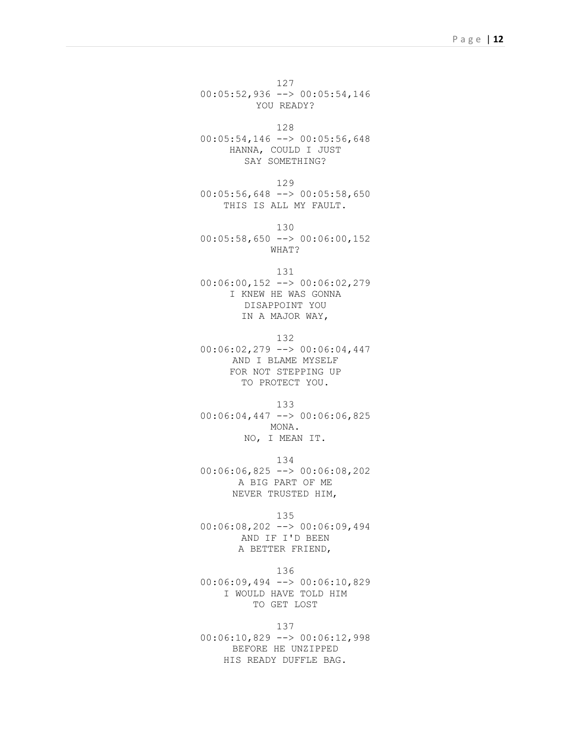127 00:05:52,936 --> 00:05:54,146 YOU READY?

128

00:05:54,146 --> 00:05:56,648 HANNA, COULD I JUST SAY SOMETHING?

129  $00:05:56,648$  -->  $00:05:58,650$ THIS IS ALL MY FAULT.

130 00:05:58,650 --> 00:06:00,152 WHAT?

131

00:06:00,152 --> 00:06:02,279 I KNEW HE WAS GONNA DISAPPOINT YOU IN A MAJOR WAY,

132 00:06:02,279 --> 00:06:04,447 AND I BLAME MYSELF FOR NOT STEPPING UP TO PROTECT YOU.

133 00:06:04,447 --> 00:06:06,825 MONA. NO, I MEAN IT.

134 00:06:06,825 --> 00:06:08,202 A BIG PART OF ME NEVER TRUSTED HIM,

135

00:06:08,202 --> 00:06:09,494 AND IF I'D BEEN A BETTER FRIEND,

136

00:06:09,494 --> 00:06:10,829 I WOULD HAVE TOLD HIM TO GET LOST

137

00:06:10,829 --> 00:06:12,998 BEFORE HE UNZIPPED HIS READY DUFFLE BAG.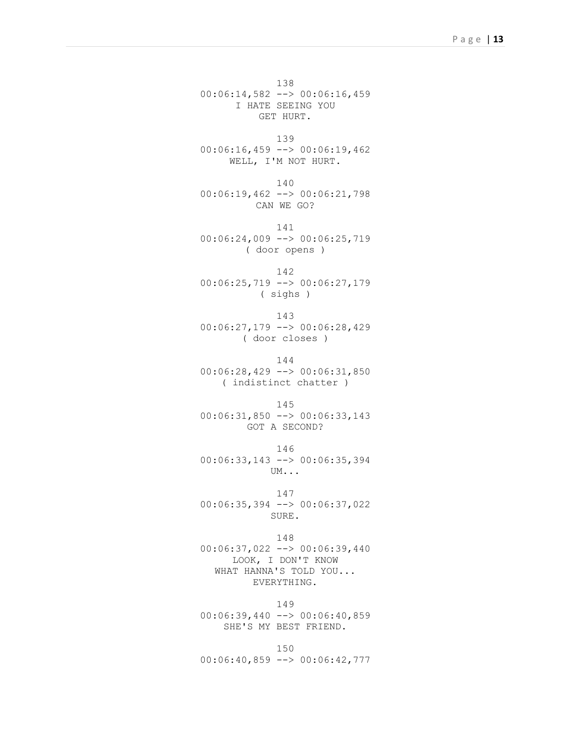138 00:06:14,582 --> 00:06:16,459 I HATE SEEING YOU GET HURT.

139  $00:06:16,459$  -->  $00:06:19,462$ WELL, I'M NOT HURT.

140 00:06:19,462 --> 00:06:21,798 CAN WE GO?

141 00:06:24,009 --> 00:06:25,719 ( door opens )

142 00:06:25,719 --> 00:06:27,179 ( sighs )

143 00:06:27,179 --> 00:06:28,429 ( door closes )

144 00:06:28,429 --> 00:06:31,850 ( indistinct chatter )

145 00:06:31,850 --> 00:06:33,143 GOT A SECOND?

146 00:06:33,143 --> 00:06:35,394 UM...

147 00:06:35,394 --> 00:06:37,022 SURE.

148 00:06:37,022 --> 00:06:39,440 LOOK, I DON'T KNOW WHAT HANNA'S TOLD YOU... EVERYTHING.

149 00:06:39,440 --> 00:06:40,859 SHE'S MY BEST FRIEND.

150 00:06:40,859 --> 00:06:42,777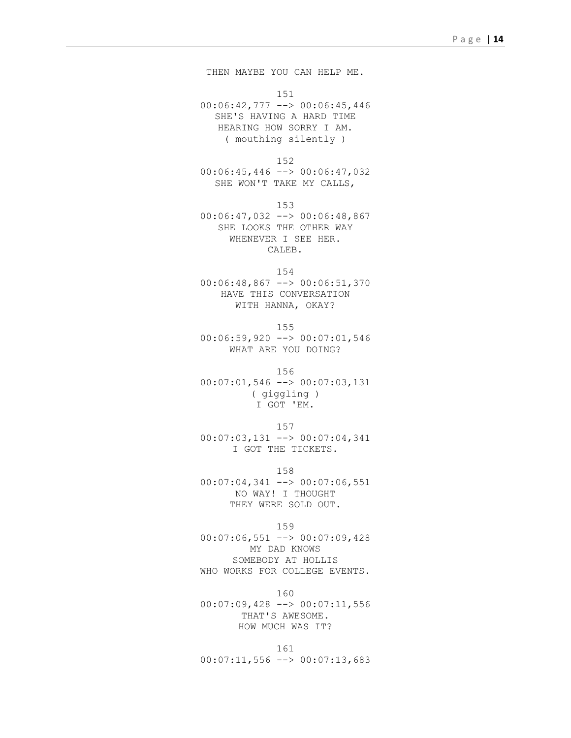THEN MAYBE YOU CAN HELP ME. 151 00:06:42,777 --> 00:06:45,446 SHE'S HAVING A HARD TIME HEARING HOW SORRY I AM. ( mouthing silently )

152 00:06:45,446 --> 00:06:47,032 SHE WON'T TAKE MY CALLS,

153 00:06:47,032 --> 00:06:48,867 SHE LOOKS THE OTHER WAY WHENEVER I SEE HER. CALEB.

154 00:06:48,867 --> 00:06:51,370 HAVE THIS CONVERSATION WITH HANNA, OKAY?

155 00:06:59,920 --> 00:07:01,546 WHAT ARE YOU DOING?

156 00:07:01,546 --> 00:07:03,131 ( giggling ) I GOT 'EM.

157 00:07:03,131 --> 00:07:04,341 I GOT THE TICKETS.

158  $00:07:04,341$  -->  $00:07:06,551$ NO WAY! I THOUGHT THEY WERE SOLD OUT.

159 00:07:06,551 --> 00:07:09,428 MY DAD KNOWS SOMEBODY AT HOLLIS WHO WORKS FOR COLLEGE EVENTS.

160 00:07:09,428 --> 00:07:11,556 THAT'S AWESOME. HOW MUCH WAS IT?

161  $00:07:11,556$  -->  $00:07:13,683$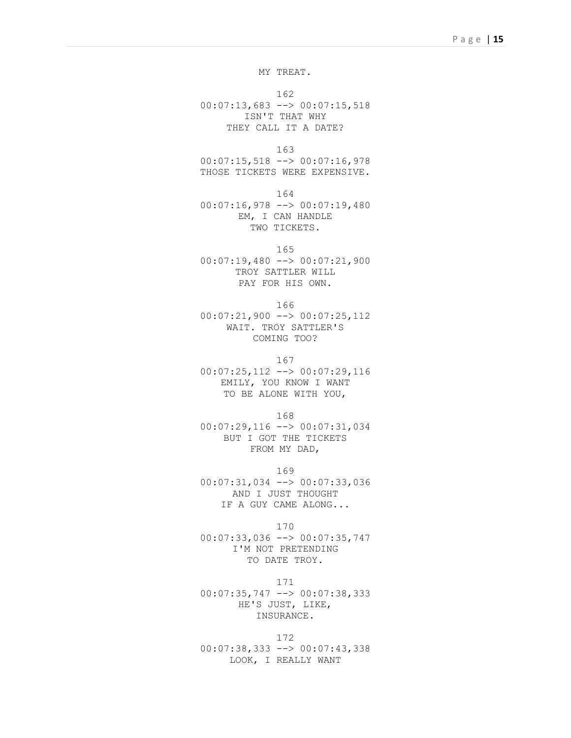MY TREAT.

162 00:07:13,683 --> 00:07:15,518 ISN'T THAT WHY THEY CALL IT A DATE?

163

00:07:15,518 --> 00:07:16,978 THOSE TICKETS WERE EXPENSIVE.

164

00:07:16,978 --> 00:07:19,480 EM, I CAN HANDLE TWO TICKETS.

165

00:07:19,480 --> 00:07:21,900 TROY SATTLER WILL PAY FOR HIS OWN.

166

00:07:21,900 --> 00:07:25,112 WAIT. TROY SATTLER'S COMING TOO?

167

00:07:25,112 --> 00:07:29,116 EMILY, YOU KNOW I WANT TO BE ALONE WITH YOU,

168

00:07:29,116 --> 00:07:31,034 BUT I GOT THE TICKETS FROM MY DAD,

169

00:07:31,034 --> 00:07:33,036 AND I JUST THOUGHT IF A GUY CAME ALONG...

170

00:07:33,036 --> 00:07:35,747 I'M NOT PRETENDING TO DATE TROY.

171 00:07:35,747 --> 00:07:38,333 HE'S JUST, LIKE, INSURANCE.

172 00:07:38,333 --> 00:07:43,338 LOOK, I REALLY WANT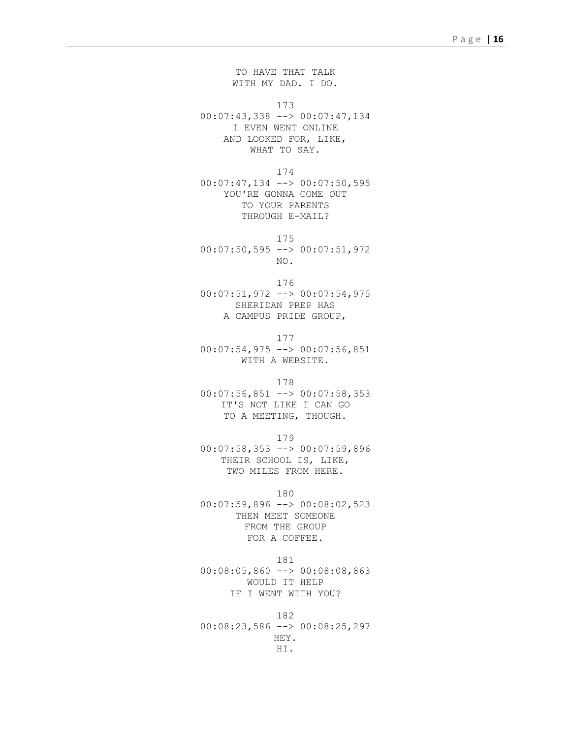TO HAVE THAT TALK WITH MY DAD. I DO.

173

00:07:43,338 --> 00:07:47,134 I EVEN WENT ONLINE AND LOOKED FOR, LIKE, WHAT TO SAY.

174

00:07:47,134 --> 00:07:50,595 YOU'RE GONNA COME OUT TO YOUR PARENTS THROUGH E-MAIL?

175

00:07:50,595 --> 00:07:51,972 NO.

176

00:07:51,972 --> 00:07:54,975 SHERIDAN PREP HAS A CAMPUS PRIDE GROUP,

177  $00:07:54,975$  -->  $00:07:56,851$ WITH A WEBSITE.

178

00:07:56,851 --> 00:07:58,353 IT'S NOT LIKE I CAN GO TO A MEETING, THOUGH.

179

00:07:58,353 --> 00:07:59,896 THEIR SCHOOL IS, LIKE, TWO MILES FROM HERE.

180

00:07:59,896 --> 00:08:02,523 THEN MEET SOMEONE FROM THE GROUP FOR A COFFEE.

181

00:08:05,860 --> 00:08:08,863 WOULD IT HELP IF I WENT WITH YOU?

182 00:08:23,586 --> 00:08:25,297 HEY. HI.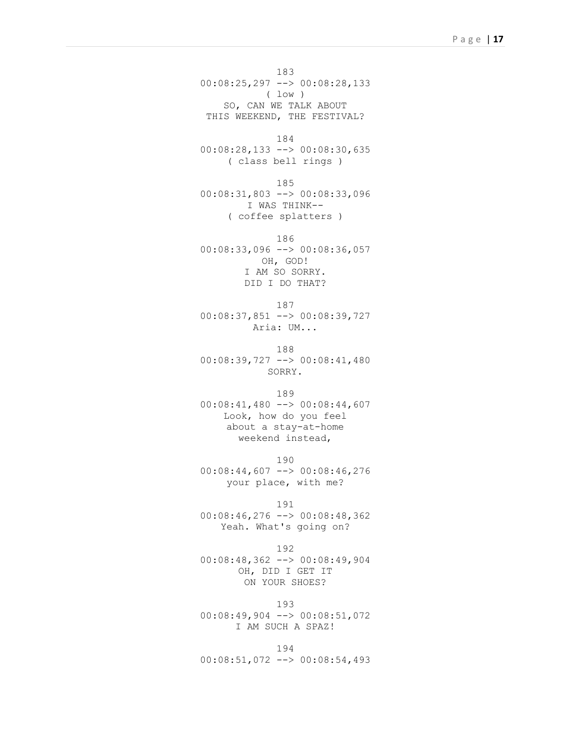183 00:08:25,297 --> 00:08:28,133 ( low ) SO, CAN WE TALK ABOUT THIS WEEKEND, THE FESTIVAL?

184 00:08:28,133 --> 00:08:30,635 ( class bell rings )

185 00:08:31,803 --> 00:08:33,096 I WAS THINK-- ( coffee splatters )

186 00:08:33,096 --> 00:08:36,057 OH, GOD! I AM SO SORRY. DID I DO THAT?

187 00:08:37,851 --> 00:08:39,727 Aria: UM...

188 00:08:39,727 --> 00:08:41,480 SORRY.

189 00:08:41,480 --> 00:08:44,607 Look, how do you feel about a stay-at-home

weekend instead, 190

00:08:44,607 --> 00:08:46,276 your place, with me?

191

00:08:46,276 --> 00:08:48,362 Yeah. What's going on?

192

00:08:48,362 --> 00:08:49,904 OH, DID I GET IT ON YOUR SHOES?

193 00:08:49,904 --> 00:08:51,072 I AM SUCH A SPAZ!

194 00:08:51,072 --> 00:08:54,493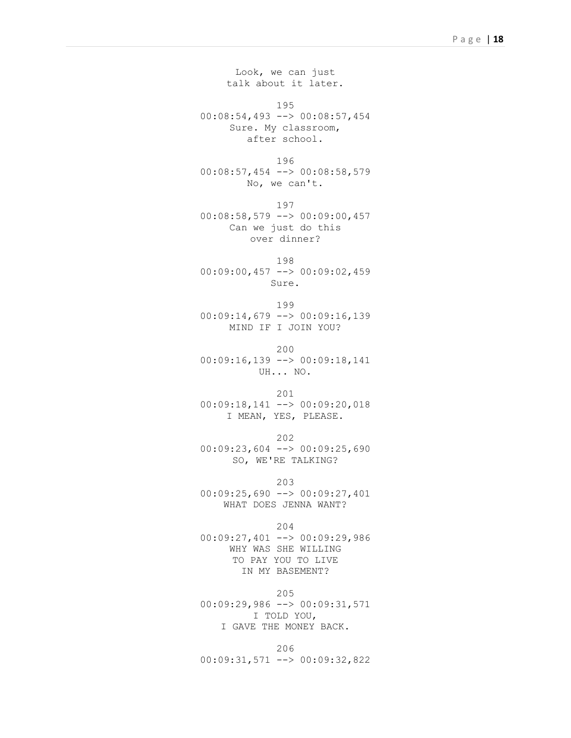Look, we can just talk about it later. 195 00:08:54,493 --> 00:08:57,454 Sure. My classroom, after school. 196 00:08:57,454 --> 00:08:58,579 No, we can't. 197 00:08:58,579 --> 00:09:00,457 Can we just do this over dinner? 198 00:09:00,457 --> 00:09:02,459 Sure. 199 00:09:14,679 --> 00:09:16,139 MIND IF I JOIN YOU? 200 00:09:16,139 --> 00:09:18,141 UH... NO. 201 00:09:18,141 --> 00:09:20,018 I MEAN, YES, PLEASE. 202 00:09:23,604 --> 00:09:25,690 SO, WE'RE TALKING? 203 00:09:25,690 --> 00:09:27,401 WHAT DOES JENNA WANT? 204 00:09:27,401 --> 00:09:29,986 WHY WAS SHE WILLING TO PAY YOU TO LIVE IN MY BASEMENT? 205

00:09:29,986 --> 00:09:31,571 I TOLD YOU, I GAVE THE MONEY BACK.

206 00:09:31,571 --> 00:09:32,822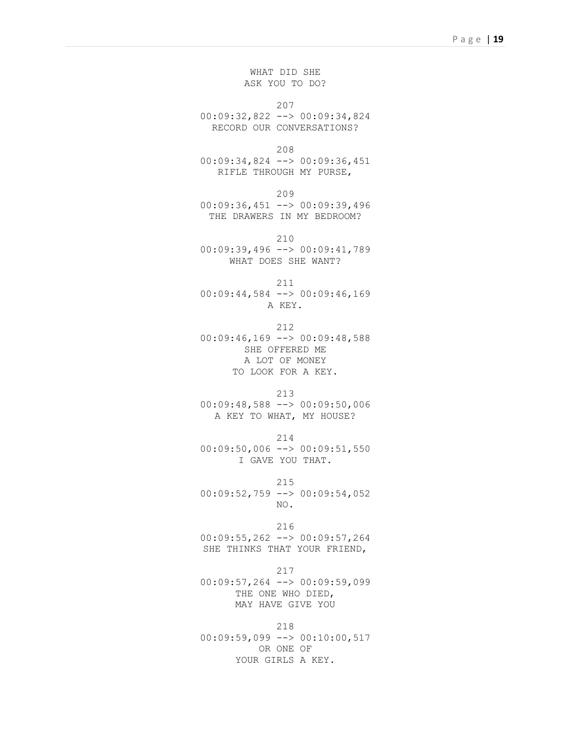WHAT DID SHE ASK YOU TO DO?

207 00:09:32,822 --> 00:09:34,824 RECORD OUR CONVERSATIONS?

```
208
```
00:09:34,824 --> 00:09:36,451 RIFLE THROUGH MY PURSE,

209

00:09:36,451 --> 00:09:39,496 THE DRAWERS IN MY BEDROOM?

210

00:09:39,496 --> 00:09:41,789 WHAT DOES SHE WANT?

211

00:09:44,584 --> 00:09:46,169 A KEY.

212 00:09:46,169 --> 00:09:48,588 SHE OFFERED ME A LOT OF MONEY

TO LOOK FOR A KEY.

213

00:09:48,588 --> 00:09:50,006 A KEY TO WHAT, MY HOUSE?

214

00:09:50,006 --> 00:09:51,550 I GAVE YOU THAT.

215 00:09:52,759 --> 00:09:54,052 NO.

216 00:09:55,262 --> 00:09:57,264 SHE THINKS THAT YOUR FRIEND,

217 00:09:57,264 --> 00:09:59,099 THE ONE WHO DIED, MAY HAVE GIVE YOU

218 00:09:59,099 --> 00:10:00,517 OR ONE OF YOUR GIRLS A KEY.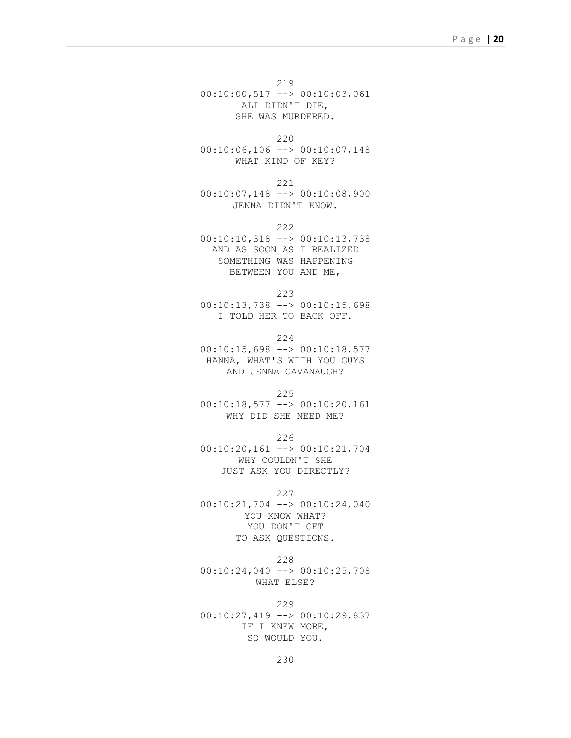219 00:10:00,517 --> 00:10:03,061 ALI DIDN'T DIE, SHE WAS MURDERED.

220 00:10:06,106 --> 00:10:07,148 WHAT KIND OF KEY?

221

00:10:07,148 --> 00:10:08,900 JENNA DIDN'T KNOW.

222

00:10:10,318 --> 00:10:13,738 AND AS SOON AS I REALIZED SOMETHING WAS HAPPENING BETWEEN YOU AND ME,

223

00:10:13,738 --> 00:10:15,698 I TOLD HER TO BACK OFF.

224

00:10:15,698 --> 00:10:18,577 HANNA, WHAT'S WITH YOU GUYS AND JENNA CAVANAUGH?

225

00:10:18,577 --> 00:10:20,161 WHY DID SHE NEED ME?

226

00:10:20,161 --> 00:10:21,704 WHY COULDN'T SHE JUST ASK YOU DIRECTLY?

227

00:10:21,704 --> 00:10:24,040 YOU KNOW WHAT? YOU DON'T GET TO ASK QUESTIONS.

228

00:10:24,040 --> 00:10:25,708 WHAT ELSE?

229

00:10:27,419 --> 00:10:29,837 IF I KNEW MORE, SO WOULD YOU.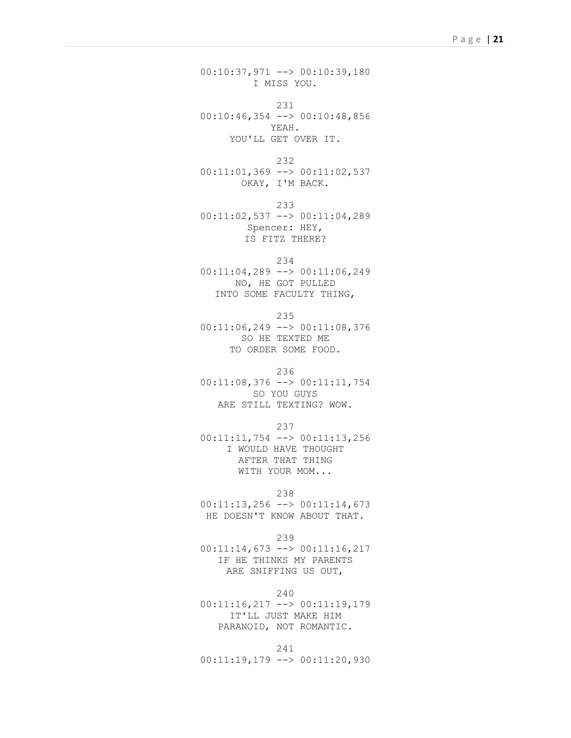00:10:37,971 --> 00:10:39,180 I MISS YOU.

231 00:10:46,354 --> 00:10:48,856 YEAH. YOU'LL GET OVER IT.

232  $00:11:01,369$  -->  $00:11:02,537$ OKAY, I'M BACK.

233 00:11:02,537 --> 00:11:04,289 Spencer: HEY, IS FITZ THERE?

```
234
```
00:11:04,289 --> 00:11:06,249 NO, HE GOT PULLED INTO SOME FACULTY THING,

235

00:11:06,249 --> 00:11:08,376 SO HE TEXTED ME TO ORDER SOME FOOD.

236

00:11:08,376 --> 00:11:11,754 SO YOU GUYS ARE STILL TEXTING? WOW.

237

00:11:11,754 --> 00:11:13,256 I WOULD HAVE THOUGHT AFTER THAT THING WITH YOUR MOM...

238

 $00:11:13,256$  -->  $00:11:14,673$ HE DOESN'T KNOW ABOUT THAT.

239

00:11:14,673 --> 00:11:16,217 IF HE THINKS MY PARENTS ARE SNIFFING US OUT,

240

00:11:16,217 --> 00:11:19,179 IT'LL JUST MAKE HIM PARANOID, NOT ROMANTIC.

241 00:11:19,179 --> 00:11:20,930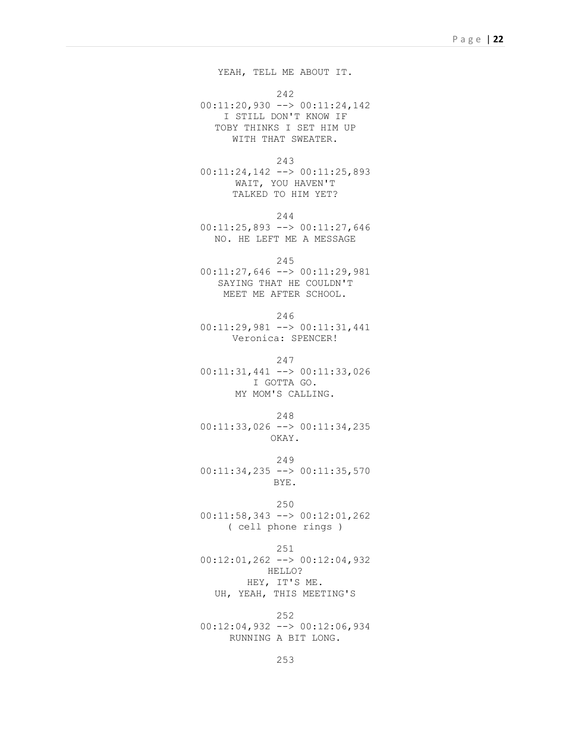YEAH, TELL ME ABOUT IT.

242

00:11:20,930 --> 00:11:24,142 I STILL DON'T KNOW IF TOBY THINKS I SET HIM UP WITH THAT SWEATER.

243

00:11:24,142 --> 00:11:25,893 WAIT, YOU HAVEN'T TALKED TO HIM YET?

244

00:11:25,893 --> 00:11:27,646 NO. HE LEFT ME A MESSAGE

245

00:11:27,646 --> 00:11:29,981 SAYING THAT HE COULDN'T MEET ME AFTER SCHOOL.

246

00:11:29,981 --> 00:11:31,441 Veronica: SPENCER!

247

00:11:31,441 --> 00:11:33,026 I GOTTA GO. MY MOM'S CALLING.

248

00:11:33,026 --> 00:11:34,235 OKAY.

249 00:11:34,235 --> 00:11:35,570 BYE.

250 00:11:58,343 --> 00:12:01,262 ( cell phone rings )

251 00:12:01,262 --> 00:12:04,932

HELLO?

HEY, IT'S ME. UH, YEAH, THIS MEETING'S

252 00:12:04,932 --> 00:12:06,934 RUNNING A BIT LONG.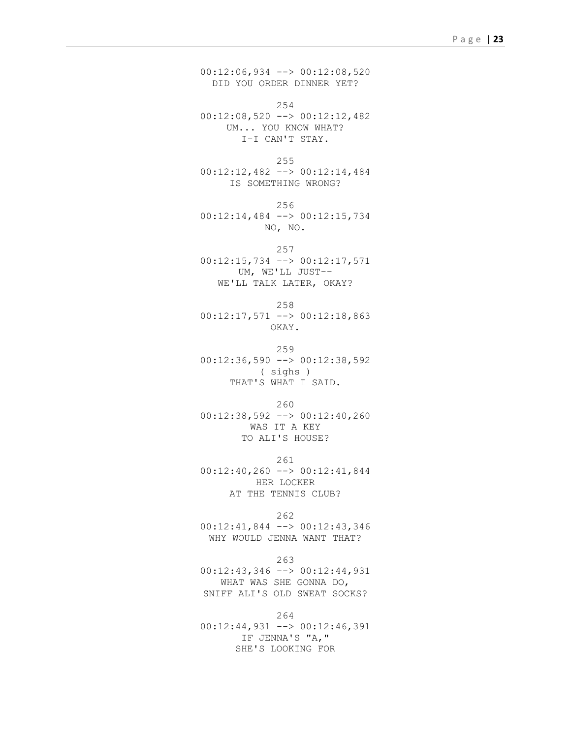00:12:06,934 --> 00:12:08,520 DID YOU ORDER DINNER YET?

254 00:12:08,520 --> 00:12:12,482 UM... YOU KNOW WHAT? I-I CAN'T STAY.

255 00:12:12,482 --> 00:12:14,484 IS SOMETHING WRONG?

256 00:12:14,484 --> 00:12:15,734 NO, NO.

257

00:12:15,734 --> 00:12:17,571 UM, WE'LL JUST-- WE'LL TALK LATER, OKAY?

258

00:12:17,571 --> 00:12:18,863 OKAY.

259 00:12:36,590 --> 00:12:38,592 ( sighs ) THAT'S WHAT I SAID.

260 00:12:38,592 --> 00:12:40,260 WAS IT A KEY

TO ALI'S HOUSE? 261

00:12:40,260 --> 00:12:41,844 HER LOCKER AT THE TENNIS CLUB?

262

00:12:41,844 --> 00:12:43,346 WHY WOULD JENNA WANT THAT?

263

00:12:43,346 --> 00:12:44,931 WHAT WAS SHE GONNA DO, SNIFF ALI'S OLD SWEAT SOCKS?

264

00:12:44,931 --> 00:12:46,391 IF JENNA'S "A," SHE'S LOOKING FOR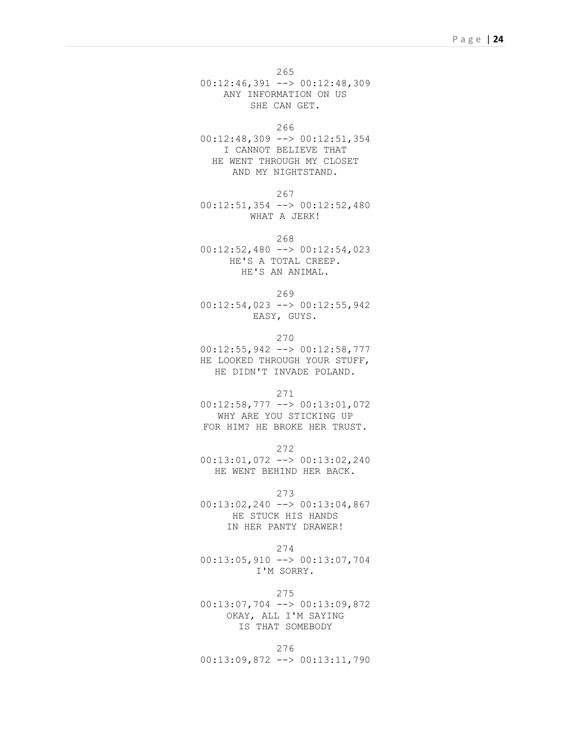265 00:12:46,391 --> 00:12:48,309 ANY INFORMATION ON US SHE CAN GET.

266

00:12:48,309 --> 00:12:51,354 I CANNOT BELIEVE THAT HE WENT THROUGH MY CLOSET AND MY NIGHTSTAND.

267

00:12:51,354 --> 00:12:52,480 WHAT A JERK!

268

00:12:52,480 --> 00:12:54,023 HE'S A TOTAL CREEP. HE'S AN ANIMAL.

269

00:12:54,023 --> 00:12:55,942 EASY, GUYS.

270

00:12:55,942 --> 00:12:58,777 HE LOOKED THROUGH YOUR STUFF, HE DIDN'T INVADE POLAND.

271

00:12:58,777 --> 00:13:01,072 WHY ARE YOU STICKING UP FOR HIM? HE BROKE HER TRUST.

272

00:13:01,072 --> 00:13:02,240 HE WENT BEHIND HER BACK.

273

00:13:02,240 --> 00:13:04,867 HE STUCK HIS HANDS IN HER PANTY DRAWER!

274

00:13:05,910 --> 00:13:07,704 I'M SORRY.

275

00:13:07,704 --> 00:13:09,872 OKAY, ALL I'M SAYING IS THAT SOMEBODY

276 00:13:09,872 --> 00:13:11,790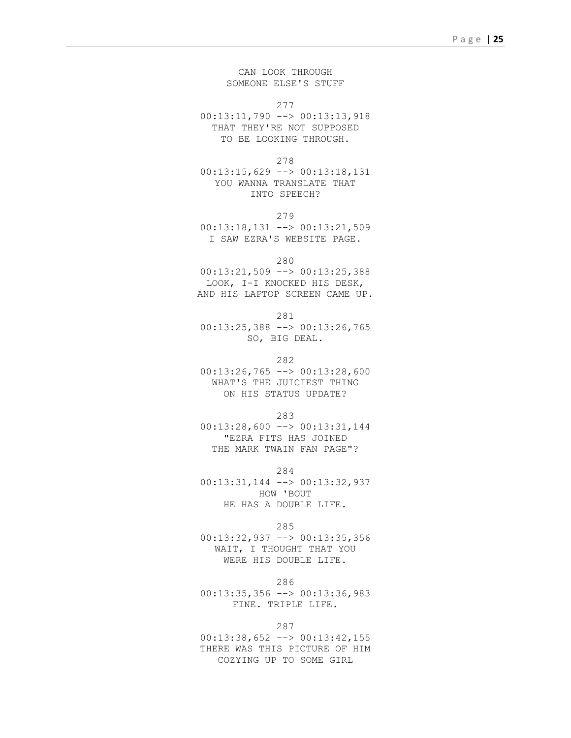CAN LOOK THROUGH SOMEONE ELSE'S STUFF

277

00:13:11,790 --> 00:13:13,918 THAT THEY'RE NOT SUPPOSED TO BE LOOKING THROUGH.

278

00:13:15,629 --> 00:13:18,131 YOU WANNA TRANSLATE THAT INTO SPEECH?

279

00:13:18,131 --> 00:13:21,509 I SAW EZRA'S WEBSITE PAGE.

280

00:13:21,509 --> 00:13:25,388 LOOK, I-I KNOCKED HIS DESK, AND HIS LAPTOP SCREEN CAME UP.

281

00:13:25,388 --> 00:13:26,765 SO, BIG DEAL.

282

 $00:13:26,765$  -->  $00:13:28,600$ WHAT'S THE JUICIEST THING ON HIS STATUS UPDATE?

283

00:13:28,600 --> 00:13:31,144 "EZRA FITS HAS JOINED THE MARK TWAIN FAN PAGE"?

284

00:13:31,144 --> 00:13:32,937 HOW 'BOUT HE HAS A DOUBLE LIFE.

285

00:13:32,937 --> 00:13:35,356 WAIT, I THOUGHT THAT YOU WERE HIS DOUBLE LIFE.

286

00:13:35,356 --> 00:13:36,983 FINE. TRIPLE LIFE.

287

00:13:38,652 --> 00:13:42,155 THERE WAS THIS PICTURE OF HIM COZYING UP TO SOME GIRL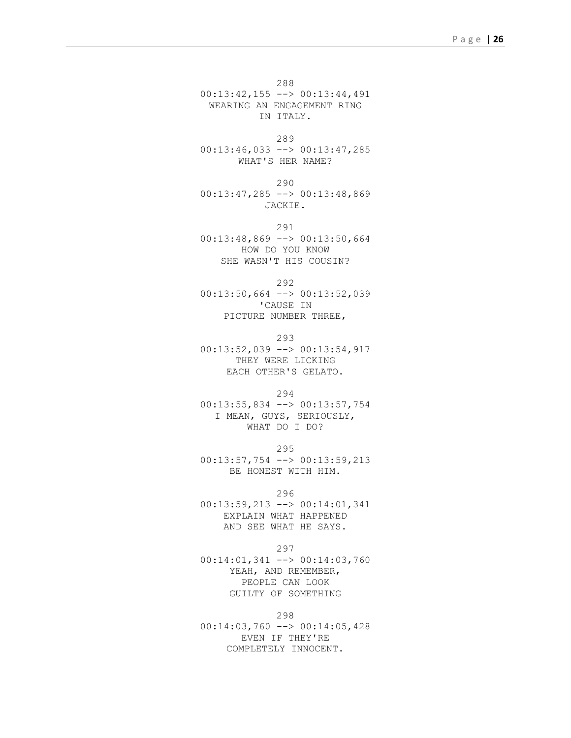288 00:13:42,155 --> 00:13:44,491

WEARING AN ENGAGEMENT RING IN ITALY.

289

00:13:46,033 --> 00:13:47,285 WHAT'S HER NAME?

290 00:13:47,285 --> 00:13:48,869 JACKIE.

291 00:13:48,869 --> 00:13:50,664 HOW DO YOU KNOW SHE WASN'T HIS COUSIN?

292

00:13:50,664 --> 00:13:52,039 'CAUSE IN PICTURE NUMBER THREE,

293

00:13:52,039 --> 00:13:54,917 THEY WERE LICKING EACH OTHER'S GELATO.

294

00:13:55,834 --> 00:13:57,754 I MEAN, GUYS, SERIOUSLY, WHAT DO I DO?

295

00:13:57,754 --> 00:13:59,213 BE HONEST WITH HIM.

296

00:13:59,213 --> 00:14:01,341 EXPLAIN WHAT HAPPENED AND SEE WHAT HE SAYS.

297

00:14:01,341 --> 00:14:03,760 YEAH, AND REMEMBER, PEOPLE CAN LOOK GUILTY OF SOMETHING

298

00:14:03,760 --> 00:14:05,428 EVEN IF THEY'RE COMPLETELY INNOCENT.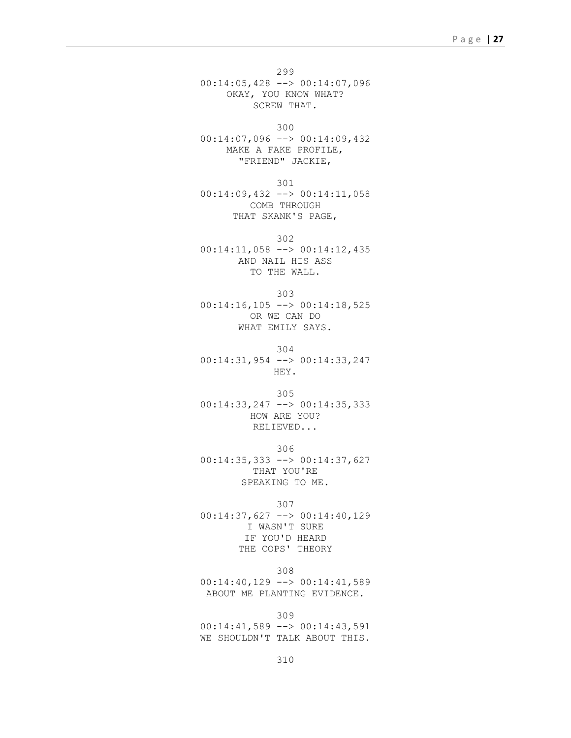299 00:14:05,428 --> 00:14:07,096 OKAY, YOU KNOW WHAT? SCREW THAT.

300

00:14:07,096 --> 00:14:09,432 MAKE A FAKE PROFILE, "FRIEND" JACKIE,

301

00:14:09,432 --> 00:14:11,058 COMB THROUGH THAT SKANK'S PAGE,

302

00:14:11,058 --> 00:14:12,435 AND NAIL HIS ASS TO THE WALL.

303 00:14:16,105 --> 00:14:18,525 OR WE CAN DO WHAT EMILY SAYS.

304

00:14:31,954 --> 00:14:33,247 HEY.

305

00:14:33,247 --> 00:14:35,333 HOW ARE YOU? RELIEVED...

306

00:14:35,333 --> 00:14:37,627 THAT YOU'RE SPEAKING TO ME.

307

00:14:37,627 --> 00:14:40,129 I WASN'T SURE IF YOU'D HEARD THE COPS' THEORY

308 00:14:40,129 --> 00:14:41,589 ABOUT ME PLANTING EVIDENCE.

309

00:14:41,589 --> 00:14:43,591 WE SHOULDN'T TALK ABOUT THIS.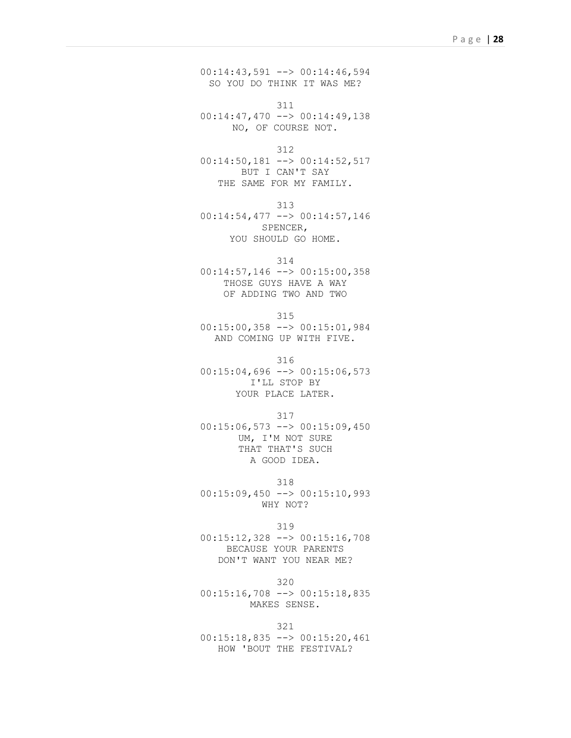00:14:43,591 --> 00:14:46,594 SO YOU DO THINK IT WAS ME?

311 00:14:47,470 --> 00:14:49,138 NO, OF COURSE NOT.

312

00:14:50,181 --> 00:14:52,517 BUT I CAN'T SAY THE SAME FOR MY FAMILY.

313

00:14:54,477 --> 00:14:57,146 SPENCER, YOU SHOULD GO HOME.

314

00:14:57,146 --> 00:15:00,358 THOSE GUYS HAVE A WAY OF ADDING TWO AND TWO

315

00:15:00,358 --> 00:15:01,984 AND COMING UP WITH FIVE.

316

 $00:15:04,696$  -->  $00:15:06,573$ I'LL STOP BY YOUR PLACE LATER.

317

00:15:06,573 --> 00:15:09,450 UM, I'M NOT SURE THAT THAT'S SUCH A GOOD IDEA.

318

 $00:15:09,450$  -->  $00:15:10,993$ WHY NOT?

319 00:15:12,328 --> 00:15:16,708 BECAUSE YOUR PARENTS DON'T WANT YOU NEAR ME?

320 00:15:16,708 --> 00:15:18,835 MAKES SENSE.

321 00:15:18,835 --> 00:15:20,461 HOW 'BOUT THE FESTIVAL?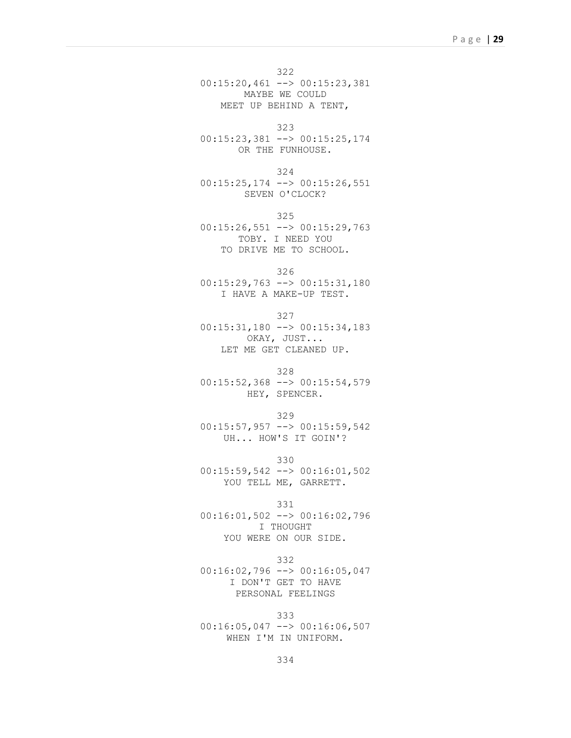322 00:15:20,461 --> 00:15:23,381 MAYBE WE COULD MEET UP BEHIND A TENT,

323

00:15:23,381 --> 00:15:25,174 OR THE FUNHOUSE.

324

00:15:25,174 --> 00:15:26,551 SEVEN O'CLOCK?

325

00:15:26,551 --> 00:15:29,763 TOBY. I NEED YOU TO DRIVE ME TO SCHOOL.

326

00:15:29,763 --> 00:15:31,180 I HAVE A MAKE-UP TEST.

327

00:15:31,180 --> 00:15:34,183 OKAY, JUST... LET ME GET CLEANED UP.

328

00:15:52,368 --> 00:15:54,579 HEY, SPENCER.

329

 $00:15:57,957$  -->  $00:15:59,542$ UH... HOW'S IT GOIN'?

330 00:15:59,542 --> 00:16:01,502 YOU TELL ME, GARRETT.

331

00:16:01,502 --> 00:16:02,796 I THOUGHT YOU WERE ON OUR SIDE.

332

00:16:02,796 --> 00:16:05,047 I DON'T GET TO HAVE PERSONAL FEELINGS

333 00:16:05,047 --> 00:16:06,507 WHEN I'M IN UNIFORM.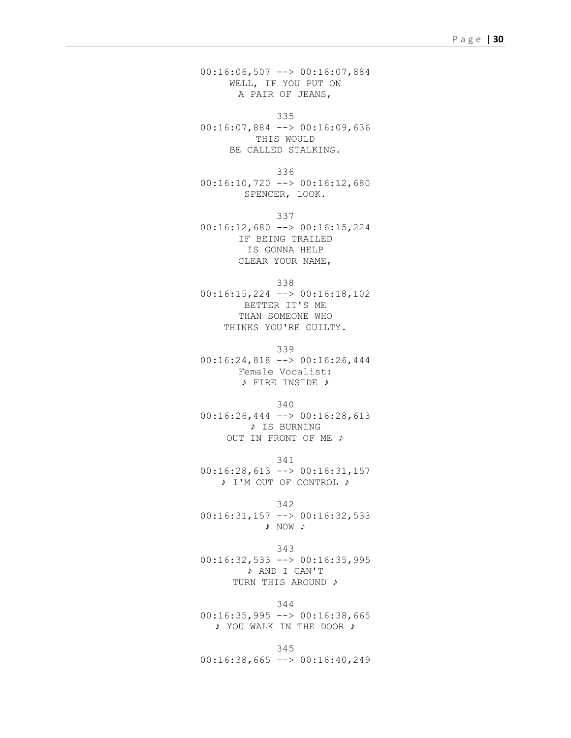00:16:06,507 --> 00:16:07,884 WELL, IF YOU PUT ON A PAIR OF JEANS,

335 00:16:07,884 --> 00:16:09,636 THIS WOULD BE CALLED STALKING.

336 00:16:10,720 --> 00:16:12,680 SPENCER, LOOK.

337

00:16:12,680 --> 00:16:15,224 IF BEING TRAILED IS GONNA HELP CLEAR YOUR NAME,

338

00:16:15,224 --> 00:16:18,102 BETTER IT'S ME THAN SOMEONE WHO THINKS YOU'RE GUILTY.

339

00:16:24,818 --> 00:16:26,444 Female Vocalist: ♪ FIRE INSIDE ♪

340

00:16:26,444 --> 00:16:28,613 ♪ IS BURNING OUT IN FRONT OF ME ♪

341 00:16:28,613 --> 00:16:31,157 ♪ I'M OUT OF CONTROL ♪

342 00:16:31,157 --> 00:16:32,533 ♪ NOW ♪

343 00:16:32,533 --> 00:16:35,995 ♪ AND I CAN'T

## TURN THIS AROUND ♪

344

00:16:35,995 --> 00:16:38,665 ♪ YOU WALK IN THE DOOR ♪

345 00:16:38,665 --> 00:16:40,249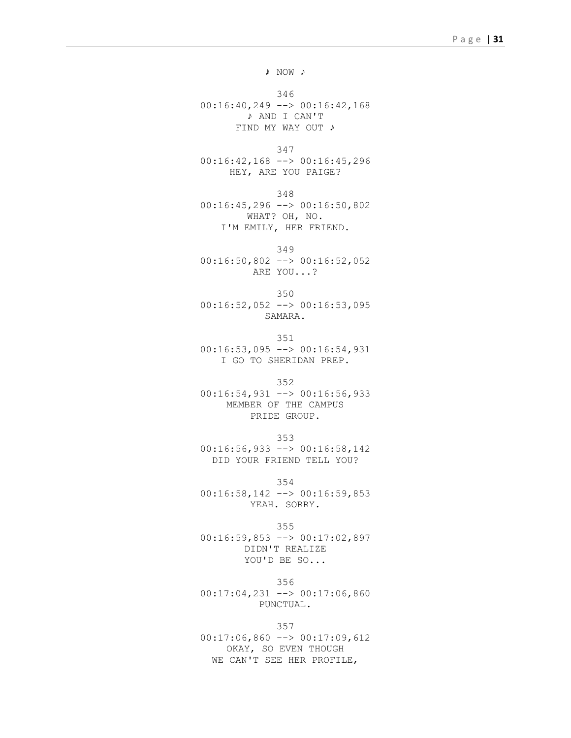♪ NOW ♪

346 00:16:40,249 --> 00:16:42,168 ♪ AND I CAN'T FIND MY WAY OUT ♪

347

00:16:42,168 --> 00:16:45,296 HEY, ARE YOU PAIGE?

348 00:16:45,296 --> 00:16:50,802 WHAT? OH, NO. I'M EMILY, HER FRIEND.

349 00:16:50,802 --> 00:16:52,052 ARE YOU...?

350 00:16:52,052 --> 00:16:53,095 SAMARA.

351 00:16:53,095 --> 00:16:54,931 I GO TO SHERIDAN PREP.

352

00:16:54,931 --> 00:16:56,933 MEMBER OF THE CAMPUS PRIDE GROUP.

353

00:16:56,933 --> 00:16:58,142 DID YOUR FRIEND TELL YOU?

354

00:16:58,142 --> 00:16:59,853 YEAH. SORRY.

355 00:16:59,853 --> 00:17:02,897 DIDN'T REALIZE YOU'D BE SO...

356 00:17:04,231 --> 00:17:06,860 PUNCTUAL.

357

00:17:06,860 --> 00:17:09,612 OKAY, SO EVEN THOUGH WE CAN'T SEE HER PROFILE,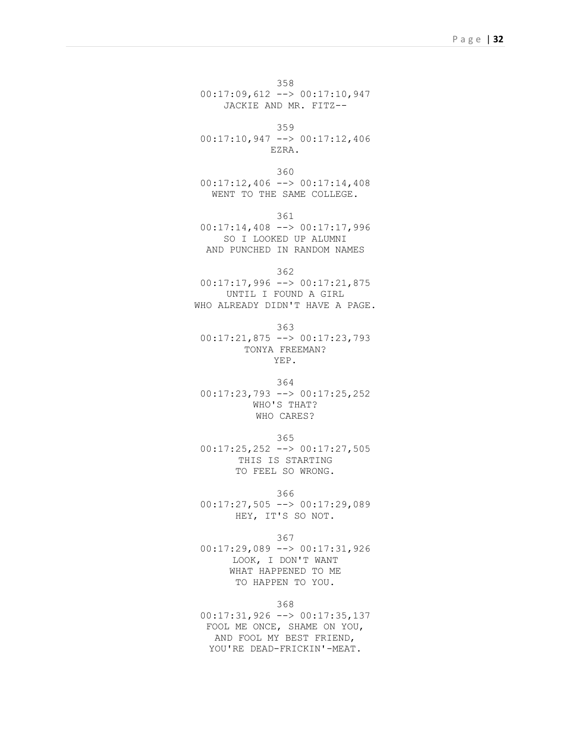358 00:17:09,612 --> 00:17:10,947 JACKIE AND MR. FITZ--

359

00:17:10,947 --> 00:17:12,406 EZRA.

360 00:17:12,406 --> 00:17:14,408 WENT TO THE SAME COLLEGE.

361

00:17:14,408 --> 00:17:17,996 SO I LOOKED UP ALUMNI AND PUNCHED IN RANDOM NAMES

362

 $00:17:17,996$  -->  $00:17:21,875$ UNTIL I FOUND A GIRL WHO ALREADY DIDN'T HAVE A PAGE.

363

00:17:21,875 --> 00:17:23,793 TONYA FREEMAN? YEP.

364

00:17:23,793 --> 00:17:25,252 WHO'S THAT? WHO CARES?

365

00:17:25,252 --> 00:17:27,505 THIS IS STARTING TO FEEL SO WRONG.

366

00:17:27,505 --> 00:17:29,089 HEY, IT'S SO NOT.

367

00:17:29,089 --> 00:17:31,926 LOOK, I DON'T WANT WHAT HAPPENED TO ME TO HAPPEN TO YOU.

368

00:17:31,926 --> 00:17:35,137 FOOL ME ONCE, SHAME ON YOU, AND FOOL MY BEST FRIEND, YOU'RE DEAD-FRICKIN'-MEAT.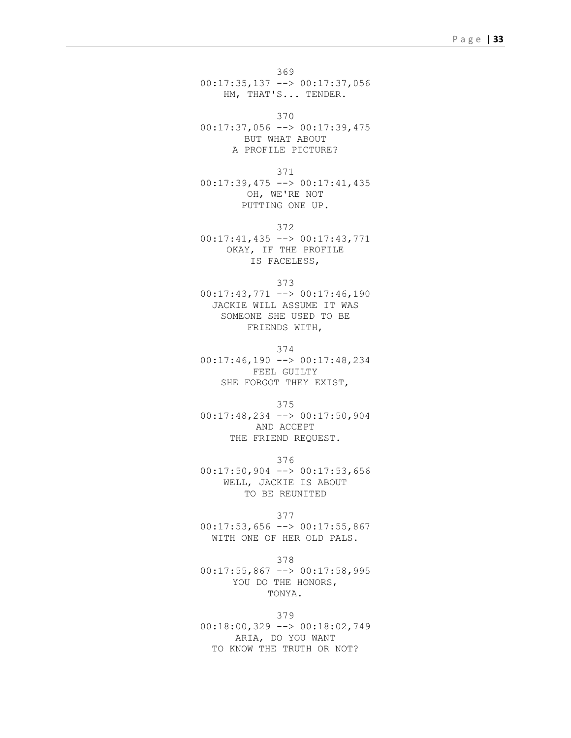369 00:17:35,137 --> 00:17:37,056 HM, THAT'S... TENDER.

370

00:17:37,056 --> 00:17:39,475 BUT WHAT ABOUT A PROFILE PICTURE?

371

00:17:39,475 --> 00:17:41,435 OH, WE'RE NOT PUTTING ONE UP.

372 00:17:41,435 --> 00:17:43,771 OKAY, IF THE PROFILE IS FACELESS,

373

 $00:17:43,771$  -->  $00:17:46,190$ JACKIE WILL ASSUME IT WAS SOMEONE SHE USED TO BE FRIENDS WITH,

374

00:17:46,190 --> 00:17:48,234 FEEL GUILTY SHE FORGOT THEY EXIST,

375

00:17:48,234 --> 00:17:50,904 AND ACCEPT THE FRIEND REQUEST.

376 00:17:50,904 --> 00:17:53,656 WELL, JACKIE IS ABOUT TO BE REUNITED

377

00:17:53,656 --> 00:17:55,867 WITH ONE OF HER OLD PALS.

378

 $00:17:55,867$  -->  $00:17:58,995$ YOU DO THE HONORS, TONYA.

379 00:18:00,329 --> 00:18:02,749 ARIA, DO YOU WANT TO KNOW THE TRUTH OR NOT?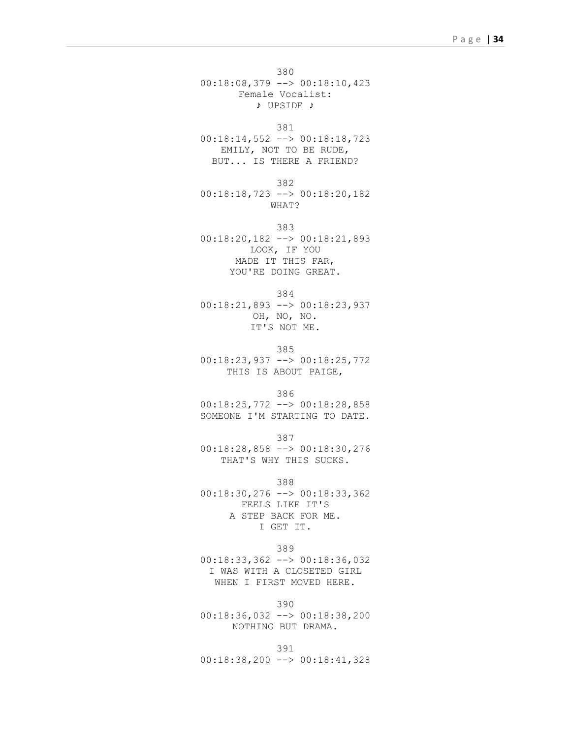380 00:18:08,379 --> 00:18:10,423 Female Vocalist: ♪ UPSIDE ♪

381

00:18:14,552 --> 00:18:18,723 EMILY, NOT TO BE RUDE, BUT... IS THERE A FRIEND?

382 00:18:18,723 --> 00:18:20,182 WHAT?

383 00:18:20,182 --> 00:18:21,893 LOOK, IF YOU MADE IT THIS FAR, YOU'RE DOING GREAT.

384 00:18:21,893 --> 00:18:23,937 OH, NO, NO. IT'S NOT ME.

385 00:18:23,937 --> 00:18:25,772 THIS IS ABOUT PAIGE,

386

00:18:25,772 --> 00:18:28,858 SOMEONE I'M STARTING TO DATE.

387 00:18:28,858 --> 00:18:30,276 THAT'S WHY THIS SUCKS.

388

00:18:30,276 --> 00:18:33,362 FEELS LIKE IT'S A STEP BACK FOR ME. I GET IT.

389

00:18:33,362 --> 00:18:36,032 I WAS WITH A CLOSETED GIRL WHEN I FIRST MOVED HERE.

390

00:18:36,032 --> 00:18:38,200 NOTHING BUT DRAMA.

391 00:18:38,200 --> 00:18:41,328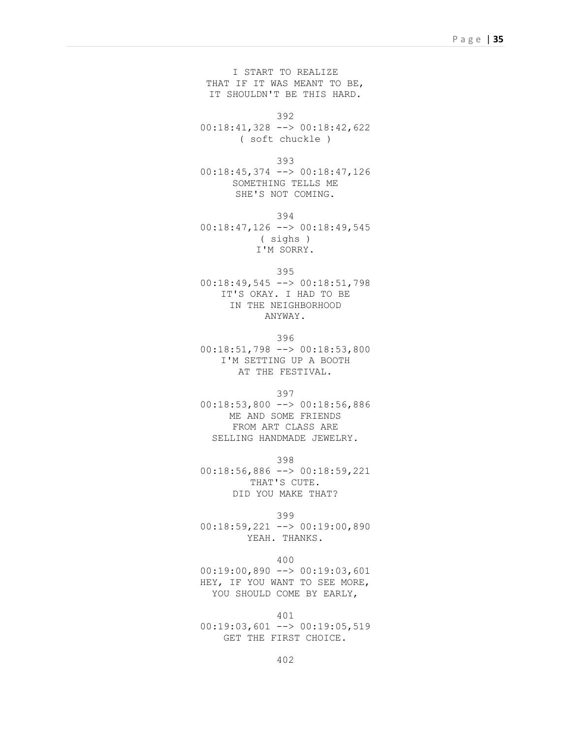I START TO REALIZE THAT IF IT WAS MEANT TO BE, IT SHOULDN'T BE THIS HARD.

392

00:18:41,328 --> 00:18:42,622 ( soft chuckle )

393

00:18:45,374 --> 00:18:47,126 SOMETHING TELLS ME SHE'S NOT COMING.

394

00:18:47,126 --> 00:18:49,545 ( sighs ) I'M SORRY.

395

00:18:49,545 --> 00:18:51,798 IT'S OKAY. I HAD TO BE IN THE NEIGHBORHOOD ANYWAY.

396 00:18:51,798 --> 00:18:53,800 I'M SETTING UP A BOOTH AT THE FESTIVAL.

397

00:18:53,800 --> 00:18:56,886 ME AND SOME FRIENDS FROM ART CLASS ARE SELLING HANDMADE JEWELRY.

398

00:18:56,886 --> 00:18:59,221 THAT'S CUTE. DID YOU MAKE THAT?

399

00:18:59,221 --> 00:19:00,890 YEAH. THANKS.

400

00:19:00,890 --> 00:19:03,601 HEY, IF YOU WANT TO SEE MORE, YOU SHOULD COME BY EARLY,

401  $00:19:03,601$  -->  $00:19:05,519$ GET THE FIRST CHOICE.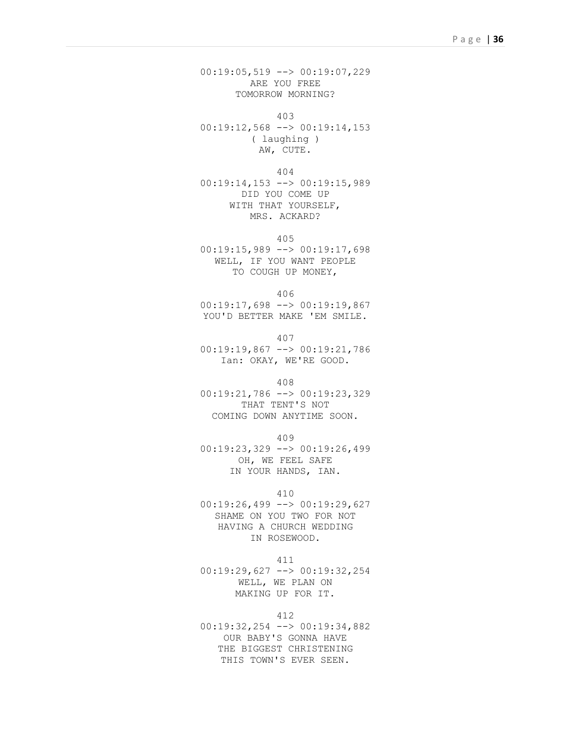00:19:05,519 --> 00:19:07,229 ARE YOU FREE TOMORROW MORNING?

403

00:19:12,568 --> 00:19:14,153 ( laughing ) AW, CUTE.

404

00:19:14,153 --> 00:19:15,989 DID YOU COME UP WITH THAT YOURSELF, MRS. ACKARD?

405

00:19:15,989 --> 00:19:17,698 WELL, IF YOU WANT PEOPLE TO COUGH UP MONEY,

406

00:19:17,698 --> 00:19:19,867 YOU'D BETTER MAKE 'EM SMILE.

407

00:19:19,867 --> 00:19:21,786 Ian: OKAY, WE'RE GOOD.

408

00:19:21,786 --> 00:19:23,329 THAT TENT'S NOT COMING DOWN ANYTIME SOON.

409

00:19:23,329 --> 00:19:26,499 OH, WE FEEL SAFE IN YOUR HANDS, IAN.

410

00:19:26,499 --> 00:19:29,627 SHAME ON YOU TWO FOR NOT HAVING A CHURCH WEDDING IN ROSEWOOD.

411

00:19:29,627 --> 00:19:32,254 WELL, WE PLAN ON MAKING UP FOR IT.

412

00:19:32,254 --> 00:19:34,882 OUR BABY'S GONNA HAVE THE BIGGEST CHRISTENING THIS TOWN'S EVER SEEN.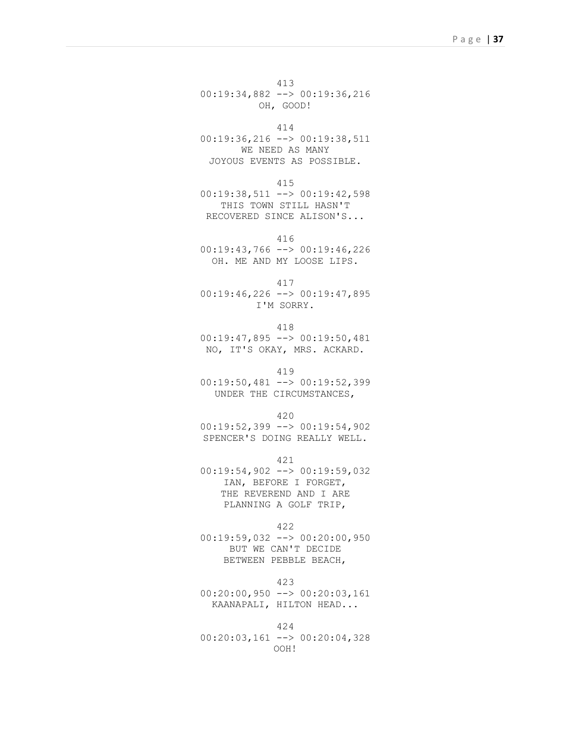413 00:19:34,882 --> 00:19:36,216 OH, GOOD!

414

00:19:36,216 --> 00:19:38,511 WE NEED AS MANY JOYOUS EVENTS AS POSSIBLE.

415

00:19:38,511 --> 00:19:42,598 THIS TOWN STILL HASN'T RECOVERED SINCE ALISON'S...

416

00:19:43,766 --> 00:19:46,226 OH. ME AND MY LOOSE LIPS.

417

 $00:19:46,226$  -->  $00:19:47,895$ I'M SORRY.

418

00:19:47,895 --> 00:19:50,481 NO, IT'S OKAY, MRS. ACKARD.

419

00:19:50,481 --> 00:19:52,399 UNDER THE CIRCUMSTANCES,

420

00:19:52,399 --> 00:19:54,902 SPENCER'S DOING REALLY WELL.

421

00:19:54,902 --> 00:19:59,032 IAN, BEFORE I FORGET, THE REVEREND AND I ARE PLANNING A GOLF TRIP,

422

00:19:59,032 --> 00:20:00,950 BUT WE CAN'T DECIDE BETWEEN PEBBLE BEACH,

423

00:20:00,950 --> 00:20:03,161 KAANAPALI, HILTON HEAD...

424

00:20:03,161 --> 00:20:04,328 OOH!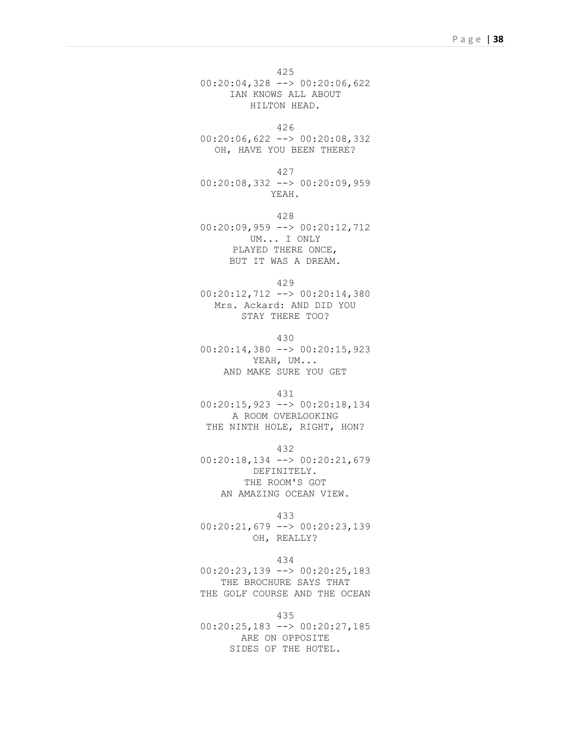425 00:20:04,328 --> 00:20:06,622 IAN KNOWS ALL ABOUT HILTON HEAD.

426

00:20:06,622 --> 00:20:08,332 OH, HAVE YOU BEEN THERE?

427 00:20:08,332 --> 00:20:09,959 YEAH.

428 00:20:09,959 --> 00:20:12,712 UM... I ONLY PLAYED THERE ONCE, BUT IT WAS A DREAM.

429

00:20:12,712 --> 00:20:14,380 Mrs. Ackard: AND DID YOU STAY THERE TOO?

430 00:20:14,380 --> 00:20:15,923 YEAH, UM... AND MAKE SURE YOU GET

431

00:20:15,923 --> 00:20:18,134 A ROOM OVERLOOKING THE NINTH HOLE, RIGHT, HON?

432

00:20:18,134 --> 00:20:21,679 DEFINITELY. THE ROOM'S GOT AN AMAZING OCEAN VIEW.

433

00:20:21,679 --> 00:20:23,139 OH, REALLY?

434

00:20:23,139 --> 00:20:25,183 THE BROCHURE SAYS THAT THE GOLF COURSE AND THE OCEAN

435

00:20:25,183 --> 00:20:27,185 ARE ON OPPOSITE SIDES OF THE HOTEL.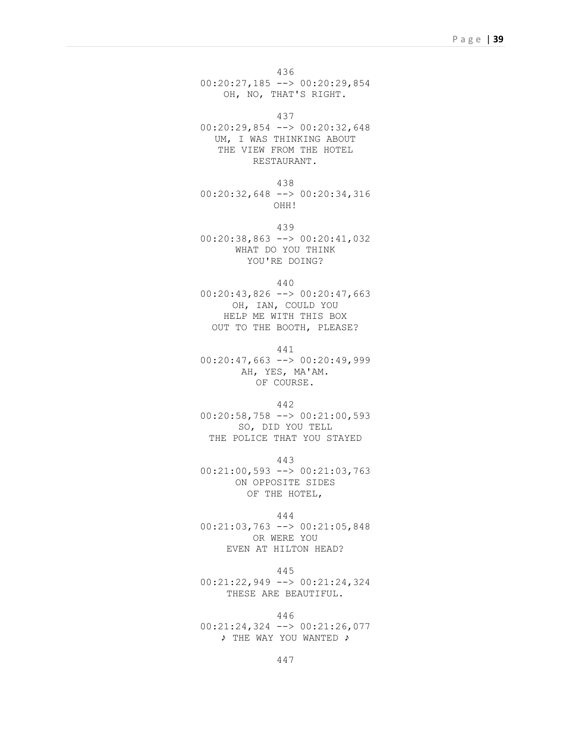436 00:20:27,185 --> 00:20:29,854 OH, NO, THAT'S RIGHT.

437

00:20:29,854 --> 00:20:32,648 UM, I WAS THINKING ABOUT THE VIEW FROM THE HOTEL RESTAURANT.

438 00:20:32,648 --> 00:20:34,316 OHH!

439 00:20:38,863 --> 00:20:41,032

WHAT DO YOU THINK YOU'RE DOING?

440

00:20:43,826 --> 00:20:47,663 OH, IAN, COULD YOU HELP ME WITH THIS BOX OUT TO THE BOOTH, PLEASE?

441

00:20:47,663 --> 00:20:49,999 AH, YES, MA'AM. OF COURSE.

442

00:20:58,758 --> 00:21:00,593 SO, DID YOU TELL THE POLICE THAT YOU STAYED

443

00:21:00,593 --> 00:21:03,763 ON OPPOSITE SIDES OF THE HOTEL,

444

00:21:03,763 --> 00:21:05,848 OR WERE YOU EVEN AT HILTON HEAD?

445

00:21:22,949 --> 00:21:24,324 THESE ARE BEAUTIFUL.

446 00:21:24,324 --> 00:21:26,077 ♪ THE WAY YOU WANTED ♪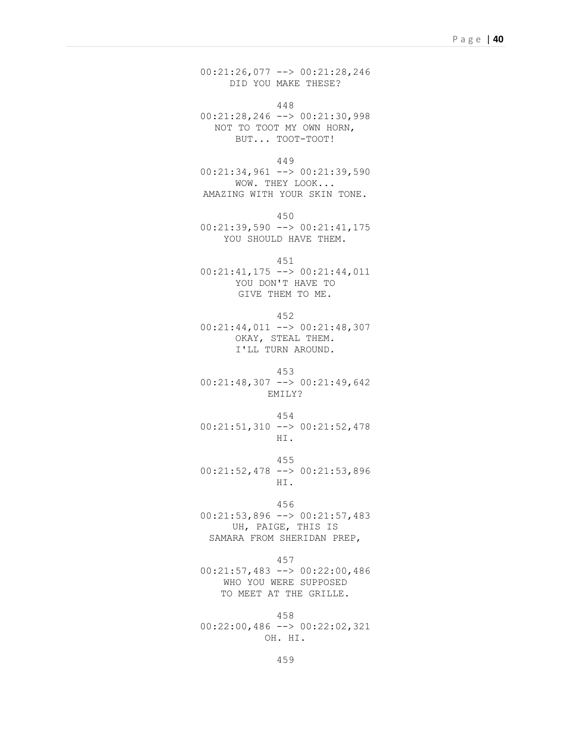00:21:26,077 --> 00:21:28,246 DID YOU MAKE THESE?

448 00:21:28,246 --> 00:21:30,998 NOT TO TOOT MY OWN HORN, BUT... TOOT-TOOT!

449  $00:21:34,961$  -->  $00:21:39,590$ 

WOW. THEY LOOK... AMAZING WITH YOUR SKIN TONE.

450

00:21:39,590 --> 00:21:41,175 YOU SHOULD HAVE THEM.

451 00:21:41,175 --> 00:21:44,011 YOU DON'T HAVE TO

GIVE THEM TO ME.

452

00:21:44,011 --> 00:21:48,307 OKAY, STEAL THEM. I'LL TURN AROUND.

453 00:21:48,307 --> 00:21:49,642 EMILY?

454 00:21:51,310 --> 00:21:52,478 HI.

455 00:21:52,478 --> 00:21:53,896 HI.

456

00:21:53,896 --> 00:21:57,483 UH, PAIGE, THIS IS SAMARA FROM SHERIDAN PREP,

457

00:21:57,483 --> 00:22:00,486 WHO YOU WERE SUPPOSED TO MEET AT THE GRILLE.

458 00:22:00,486 --> 00:22:02,321 OH. HI.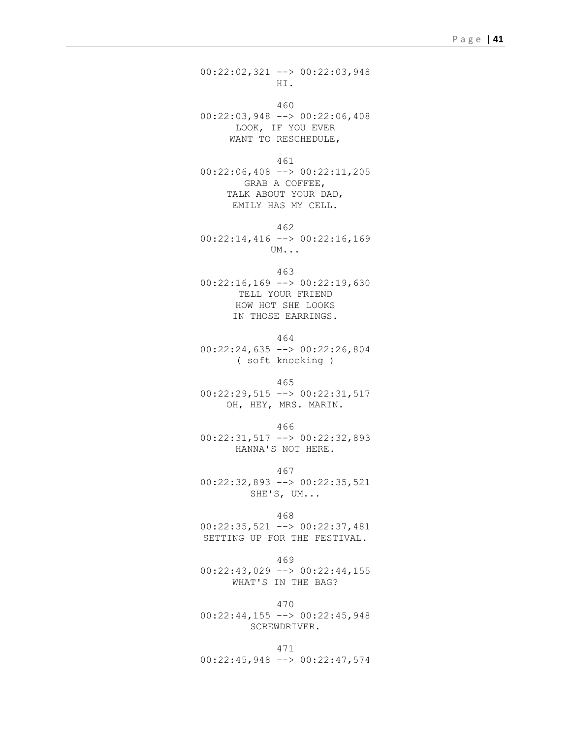00:22:02,321 --> 00:22:03,948 HI.

460

00:22:03,948 --> 00:22:06,408 LOOK, IF YOU EVER WANT TO RESCHEDULE,

461

00:22:06,408 --> 00:22:11,205 GRAB A COFFEE, TALK ABOUT YOUR DAD, EMILY HAS MY CELL.

462

00:22:14,416 --> 00:22:16,169 UM...

463

00:22:16,169 --> 00:22:19,630 TELL YOUR FRIEND HOW HOT SHE LOOKS IN THOSE EARRINGS.

464 00:22:24,635 --> 00:22:26,804 ( soft knocking )

465

00:22:29,515 --> 00:22:31,517 OH, HEY, MRS. MARIN.

466

00:22:31,517 --> 00:22:32,893 HANNA'S NOT HERE.

467 00:22:32,893 --> 00:22:35,521 SHE'S, UM...

468

00:22:35,521 --> 00:22:37,481 SETTING UP FOR THE FESTIVAL.

469

00:22:43,029 --> 00:22:44,155 WHAT'S IN THE BAG?

470

00:22:44,155 --> 00:22:45,948 SCREWDRIVER.

471 00:22:45,948 --> 00:22:47,574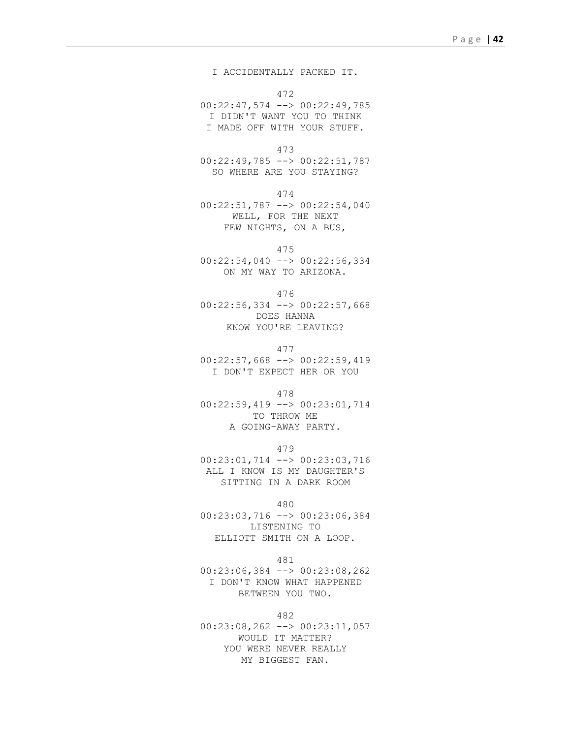I ACCIDENTALLY PACKED IT.

472

00:22:47,574 --> 00:22:49,785 I DIDN'T WANT YOU TO THINK I MADE OFF WITH YOUR STUFF.

```
473
```
00:22:49,785 --> 00:22:51,787 SO WHERE ARE YOU STAYING?

474

00:22:51,787 --> 00:22:54,040 WELL, FOR THE NEXT FEW NIGHTS, ON A BUS,

475

00:22:54,040 --> 00:22:56,334 ON MY WAY TO ARIZONA.

476

00:22:56,334 --> 00:22:57,668 DOES HANNA KNOW YOU'RE LEAVING?

477

 $00:22:57,668$  -->  $00:22:59,419$ I DON'T EXPECT HER OR YOU

478

00:22:59,419 --> 00:23:01,714 TO THROW ME A GOING-AWAY PARTY.

479

00:23:01,714 --> 00:23:03,716 ALL I KNOW IS MY DAUGHTER'S SITTING IN A DARK ROOM

480

00:23:03,716 --> 00:23:06,384 LISTENING TO ELLIOTT SMITH ON A LOOP.

481

00:23:06,384 --> 00:23:08,262 I DON'T KNOW WHAT HAPPENED BETWEEN YOU TWO.

482

00:23:08,262 --> 00:23:11,057 WOULD IT MATTER? YOU WERE NEVER REALLY MY BIGGEST FAN.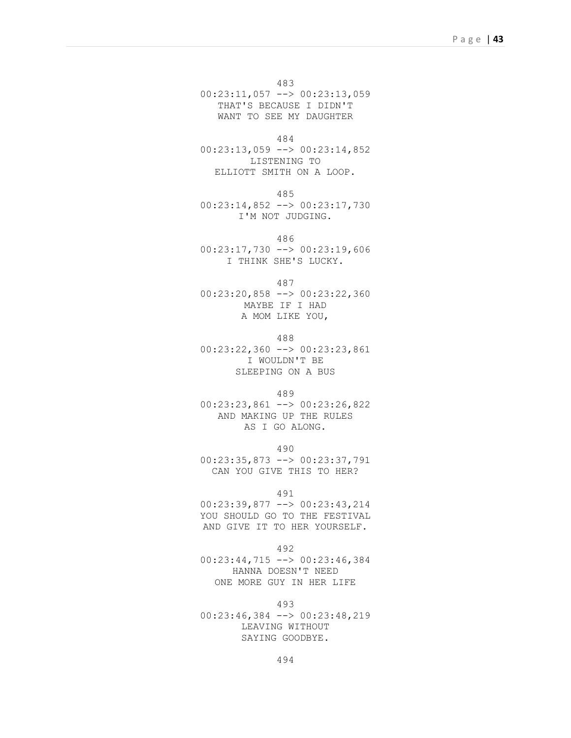483 00:23:11,057 --> 00:23:13,059 THAT'S BECAUSE I DIDN'T WANT TO SEE MY DAUGHTER

484

00:23:13,059 --> 00:23:14,852 LISTENING TO ELLIOTT SMITH ON A LOOP.

485

00:23:14,852 --> 00:23:17,730 I'M NOT JUDGING.

486

00:23:17,730 --> 00:23:19,606 I THINK SHE'S LUCKY.

487

00:23:20,858 --> 00:23:22,360 MAYBE IF I HAD A MOM LIKE YOU,

488

00:23:22,360 --> 00:23:23,861 I WOULDN'T BE SLEEPING ON A BUS

489

00:23:23,861 --> 00:23:26,822 AND MAKING UP THE RULES AS I GO ALONG.

490

00:23:35,873 --> 00:23:37,791 CAN YOU GIVE THIS TO HER?

491

00:23:39,877 --> 00:23:43,214 YOU SHOULD GO TO THE FESTIVAL AND GIVE IT TO HER YOURSELF.

492

00:23:44,715 --> 00:23:46,384 HANNA DOESN'T NEED ONE MORE GUY IN HER LIFE

493

00:23:46,384 --> 00:23:48,219 LEAVING WITHOUT SAYING GOODBYE.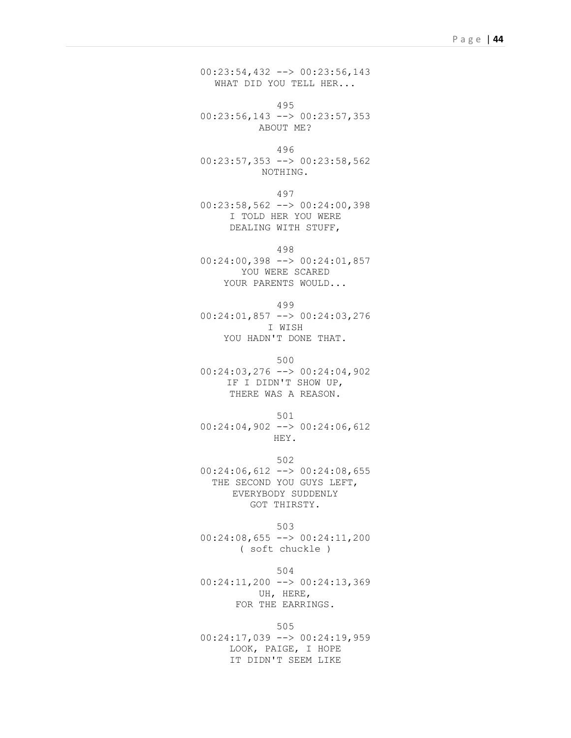00:23:54,432 --> 00:23:56,143 WHAT DID YOU TELL HER...

495 00:23:56,143 --> 00:23:57,353 ABOUT ME?

```
496
```
00:23:57,353 --> 00:23:58,562 NOTHING.

497

00:23:58,562 --> 00:24:00,398 I TOLD HER YOU WERE DEALING WITH STUFF,

498

00:24:00,398 --> 00:24:01,857 YOU WERE SCARED YOUR PARENTS WOULD...

```
499
```
00:24:01,857 --> 00:24:03,276 I WISH YOU HADN'T DONE THAT.

500

00:24:03,276 --> 00:24:04,902 IF I DIDN'T SHOW UP, THERE WAS A REASON.

501  $00:24:04,902$  -->  $00:24:06,612$ HEY.

502 00:24:06,612 --> 00:24:08,655 THE SECOND YOU GUYS LEFT, EVERYBODY SUDDENLY GOT THIRSTY.

503 00:24:08,655 --> 00:24:11,200 ( soft chuckle )

504 00:24:11,200 --> 00:24:13,369 UH, HERE, FOR THE EARRINGS.

505

00:24:17,039 --> 00:24:19,959 LOOK, PAIGE, I HOPE IT DIDN'T SEEM LIKE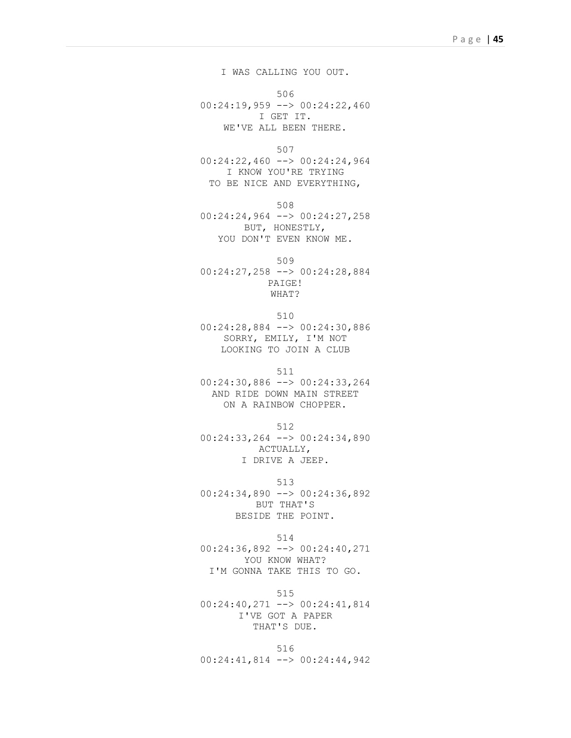I WAS CALLING YOU OUT.

506 00:24:19,959 --> 00:24:22,460 I GET IT. WE'VE ALL BEEN THERE.

507

00:24:22,460 --> 00:24:24,964 I KNOW YOU'RE TRYING TO BE NICE AND EVERYTHING,

508

00:24:24,964 --> 00:24:27,258 BUT, HONESTLY, YOU DON'T EVEN KNOW ME.

509 00:24:27,258 --> 00:24:28,884 PAIGE! WHAT?

510

00:24:28,884 --> 00:24:30,886 SORRY, EMILY, I'M NOT LOOKING TO JOIN A CLUB

511

00:24:30,886 --> 00:24:33,264 AND RIDE DOWN MAIN STREET ON A RAINBOW CHOPPER.

512

00:24:33,264 --> 00:24:34,890 ACTUALLY, I DRIVE A JEEP.

513

00:24:34,890 --> 00:24:36,892 BUT THAT'S BESIDE THE POINT.

514

00:24:36,892 --> 00:24:40,271 YOU KNOW WHAT? I'M GONNA TAKE THIS TO GO.

515 00:24:40,271 --> 00:24:41,814 I'VE GOT A PAPER THAT'S DUE.

516 00:24:41,814 --> 00:24:44,942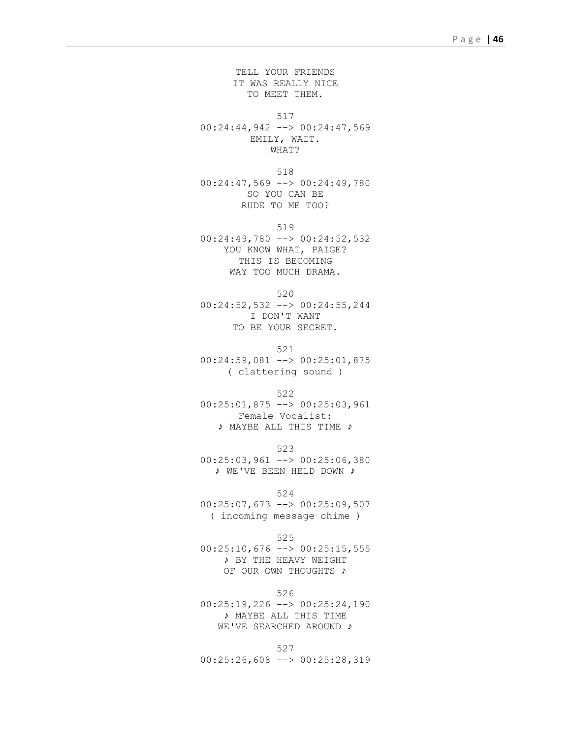TELL YOUR FRIENDS IT WAS REALLY NICE TO MEET THEM.

517

00:24:44,942 --> 00:24:47,569 EMILY, WAIT. WHAT?

518 00:24:47,569 --> 00:24:49,780 SO YOU CAN BE RUDE TO ME TOO?

519 00:24:49,780 --> 00:24:52,532 YOU KNOW WHAT, PAIGE? THIS IS BECOMING WAY TOO MUCH DRAMA.

520

00:24:52,532 --> 00:24:55,244 I DON'T WANT TO BE YOUR SECRET.

521

00:24:59,081 --> 00:25:01,875 ( clattering sound )

522

00:25:01,875 --> 00:25:03,961 Female Vocalist: ♪ MAYBE ALL THIS TIME ♪

523 00:25:03,961 --> 00:25:06,380 ♪ WE'VE BEEN HELD DOWN ♪

524 00:25:07,673 --> 00:25:09,507 ( incoming message chime )

525 00:25:10,676 --> 00:25:15,555 ♪ BY THE HEAVY WEIGHT OF OUR OWN THOUGHTS ♪

526 00:25:19,226 --> 00:25:24,190 ♪ MAYBE ALL THIS TIME WE'VE SEARCHED AROUND ♪

527 00:25:26,608 --> 00:25:28,319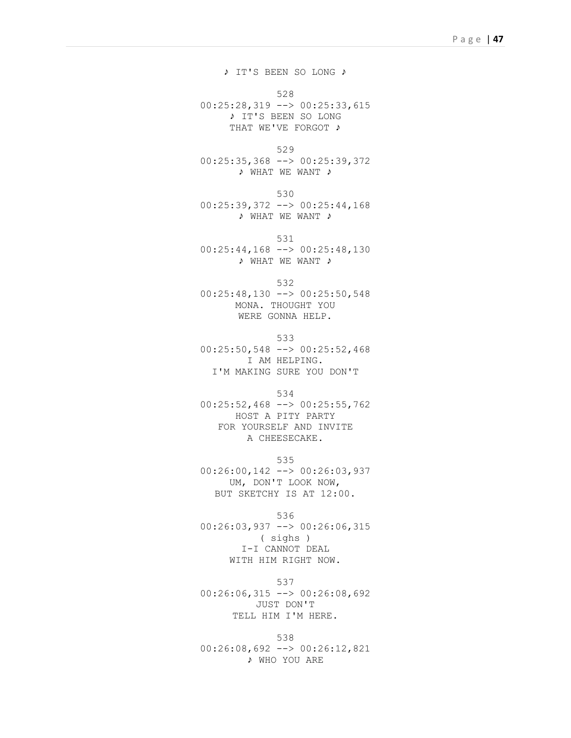♪ IT'S BEEN SO LONG ♪

528

 $00:25:28,319$  -->  $00:25:33,615$ ♪ IT'S BEEN SO LONG THAT WE'VE FORGOT ♪

529

00:25:35,368 --> 00:25:39,372 ♪ WHAT WE WANT ♪

530

00:25:39,372 --> 00:25:44,168 ♪ WHAT WE WANT ♪

531

00:25:44,168 --> 00:25:48,130 ♪ WHAT WE WANT ♪

532

 $00:25:48,130$  -->  $00:25:50,548$ MONA. THOUGHT YOU WERE GONNA HELP.

533 00:25:50,548 --> 00:25:52,468 I AM HELPING. I'M MAKING SURE YOU DON'T

534

00:25:52,468 --> 00:25:55,762 HOST A PITY PARTY FOR YOURSELF AND INVITE A CHEESECAKE.

535 00:26:00,142 --> 00:26:03,937 UM, DON'T LOOK NOW, BUT SKETCHY IS AT 12:00.

536

00:26:03,937 --> 00:26:06,315 ( sighs ) I-I CANNOT DEAL WITH HIM RIGHT NOW.

537  $00:26:06,315$  -->  $00:26:08,692$ JUST DON'T TELL HIM I'M HERE.

538 00:26:08,692 --> 00:26:12,821 ♪ WHO YOU ARE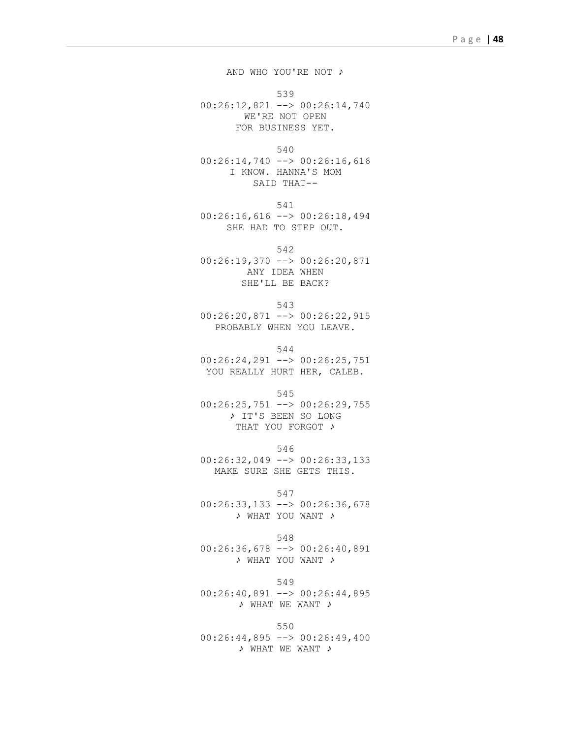AND WHO YOU'RE NOT ♪

539

00:26:12,821 --> 00:26:14,740 WE'RE NOT OPEN FOR BUSINESS YET.

540

00:26:14,740 --> 00:26:16,616 I KNOW. HANNA'S MOM SAID THAT--

541

00:26:16,616 --> 00:26:18,494 SHE HAD TO STEP OUT.

542

00:26:19,370 --> 00:26:20,871 ANY IDEA WHEN SHE'LL BE BACK?

543

00:26:20,871 --> 00:26:22,915 PROBABLY WHEN YOU LEAVE.

544 00:26:24,291 --> 00:26:25,751 YOU REALLY HURT HER, CALEB.

545

00:26:25,751 --> 00:26:29,755 ♪ IT'S BEEN SO LONG THAT YOU FORGOT ♪

546

00:26:32,049 --> 00:26:33,133 MAKE SURE SHE GETS THIS.

547

00:26:33,133 --> 00:26:36,678 ♪ WHAT YOU WANT ♪

548 00:26:36,678 --> 00:26:40,891 ♪ WHAT YOU WANT ♪

549  $00:26:40,891$  -->  $00:26:44,895$ ♪ WHAT WE WANT ♪

550 00:26:44,895 --> 00:26:49,400 ♪ WHAT WE WANT ♪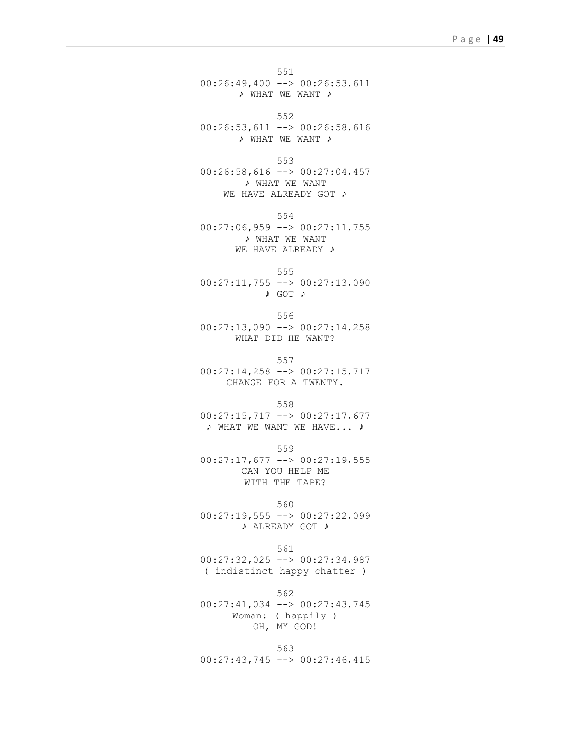551  $00:26:49,400$  -->  $00:26:53,611$ ♪ WHAT WE WANT ♪

552 00:26:53,611 --> 00:26:58,616 ♪ WHAT WE WANT ♪

553  $00:26:58,616$  -->  $00:27:04,457$ 

♪ WHAT WE WANT WE HAVE ALREADY GOT ♪

554

00:27:06,959 --> 00:27:11,755 ♪ WHAT WE WANT WE HAVE ALREADY ♪

555

00:27:11,755 --> 00:27:13,090 ♪ GOT ♪

556 00:27:13,090 --> 00:27:14,258 WHAT DID HE WANT?

557

00:27:14,258 --> 00:27:15,717 CHANGE FOR A TWENTY.

558

00:27:15,717 --> 00:27:17,677 ♪ WHAT WE WANT WE HAVE... ♪

559

00:27:17,677 --> 00:27:19,555 CAN YOU HELP ME WITH THE TAPE?

560

00:27:19,555 --> 00:27:22,099 ♪ ALREADY GOT ♪

561

00:27:32,025 --> 00:27:34,987 ( indistinct happy chatter )

562

00:27:41,034 --> 00:27:43,745 Woman: ( happily ) OH, MY GOD!

563 00:27:43,745 --> 00:27:46,415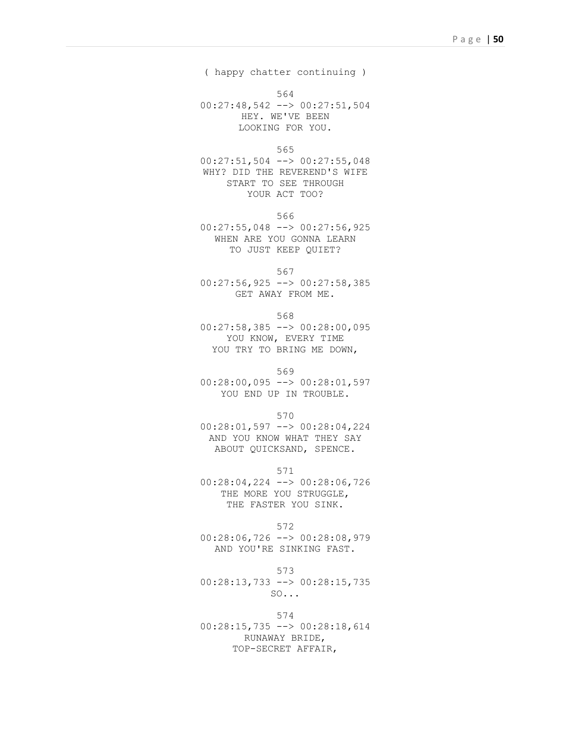( happy chatter continuing )

564

00:27:48,542 --> 00:27:51,504 HEY. WE'VE BEEN LOOKING FOR YOU.

565

00:27:51,504 --> 00:27:55,048 WHY? DID THE REVEREND'S WIFE START TO SEE THROUGH YOUR ACT TOO?

566

00:27:55,048 --> 00:27:56,925 WHEN ARE YOU GONNA LEARN TO JUST KEEP QUIET?

567

 $00:27:56,925$  -->  $00:27:58,385$ GET AWAY FROM ME.

568

00:27:58,385 --> 00:28:00,095 YOU KNOW, EVERY TIME YOU TRY TO BRING ME DOWN,

569

00:28:00,095 --> 00:28:01,597 YOU END UP IN TROUBLE.

570

00:28:01,597 --> 00:28:04,224 AND YOU KNOW WHAT THEY SAY ABOUT QUICKSAND, SPENCE.

571

00:28:04,224 --> 00:28:06,726 THE MORE YOU STRUGGLE, THE FASTER YOU SINK.

572

00:28:06,726 --> 00:28:08,979 AND YOU'RE SINKING FAST.

573 00:28:13,733 --> 00:28:15,735 SO...

574 00:28:15,735 --> 00:28:18,614 RUNAWAY BRIDE, TOP-SECRET AFFAIR,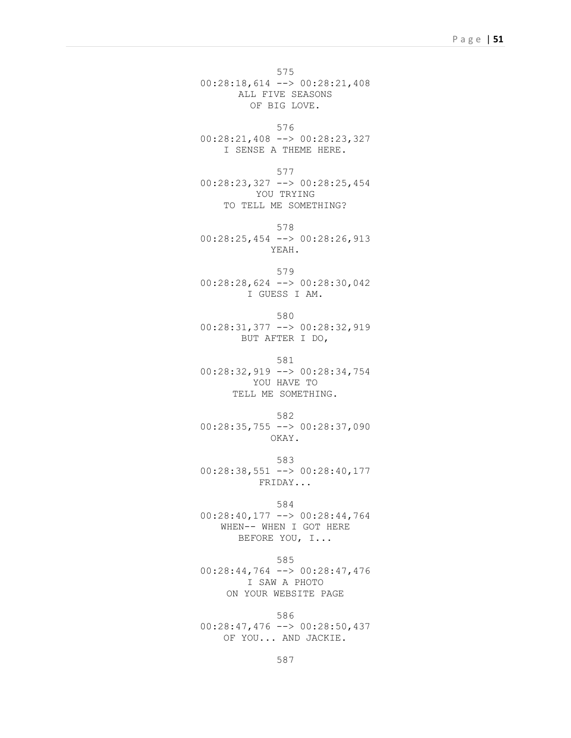575 00:28:18,614 --> 00:28:21,408 ALL FIVE SEASONS OF BIG LOVE.

576 00:28:21,408 --> 00:28:23,327 I SENSE A THEME HERE.

577 00:28:23,327 --> 00:28:25,454 YOU TRYING TO TELL ME SOMETHING?

578 00:28:25,454 --> 00:28:26,913 YEAH.

579 00:28:28,624 --> 00:28:30,042 I GUESS I AM.

580

00:28:31,377 --> 00:28:32,919 BUT AFTER I DO,

581

00:28:32,919 --> 00:28:34,754 YOU HAVE TO TELL ME SOMETHING.

582

00:28:35,755 --> 00:28:37,090 OKAY.

583 00:28:38,551 --> 00:28:40,177 FRIDAY...

584

00:28:40,177 --> 00:28:44,764 WHEN-- WHEN I GOT HERE BEFORE YOU, I...

585

00:28:44,764 --> 00:28:47,476 I SAW A PHOTO ON YOUR WEBSITE PAGE

586 00:28:47,476 --> 00:28:50,437 OF YOU... AND JACKIE.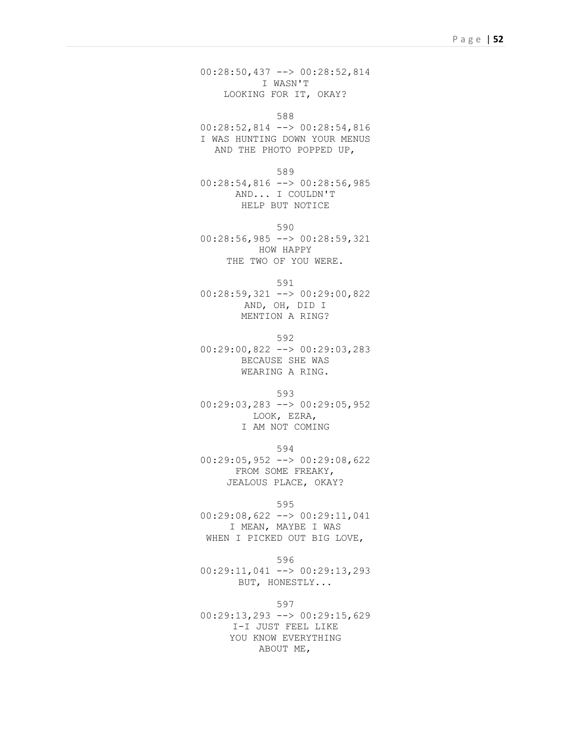00:28:50,437 --> 00:28:52,814 I WASN'T LOOKING FOR IT, OKAY?

588

00:28:52,814 --> 00:28:54,816 I WAS HUNTING DOWN YOUR MENUS AND THE PHOTO POPPED UP,

589

00:28:54,816 --> 00:28:56,985 AND... I COULDN'T HELP BUT NOTICE

590 00:28:56,985 --> 00:28:59,321 HOW HAPPY THE TWO OF YOU WERE.

591

00:28:59,321 --> 00:29:00,822 AND, OH, DID I MENTION A RING?

592 00:29:00,822 --> 00:29:03,283 BECAUSE SHE WAS WEARING A RING.

593 00:29:03,283 --> 00:29:05,952 LOOK, EZRA,

I AM NOT COMING

594

00:29:05,952 --> 00:29:08,622 FROM SOME FREAKY, JEALOUS PLACE, OKAY?

595

00:29:08,622 --> 00:29:11,041 I MEAN, MAYBE I WAS WHEN I PICKED OUT BIG LOVE,

596

00:29:11,041 --> 00:29:13,293 BUT, HONESTLY...

597 00:29:13,293 --> 00:29:15,629 I-I JUST FEEL LIKE YOU KNOW EVERYTHING ABOUT ME,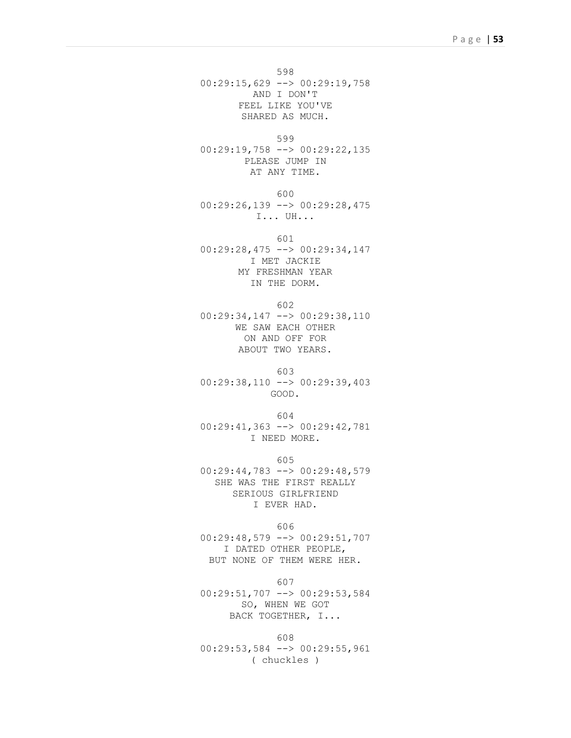598 00:29:15,629 --> 00:29:19,758 AND I DON'T FEEL LIKE YOU'VE SHARED AS MUCH.

599 00:29:19,758 --> 00:29:22,135 PLEASE JUMP IN AT ANY TIME.

600 00:29:26,139 --> 00:29:28,475 I... UH...

601 00:29:28,475 --> 00:29:34,147 I MET JACKIE MY FRESHMAN YEAR IN THE DORM.

602 00:29:34,147 --> 00:29:38,110 WE SAW EACH OTHER ON AND OFF FOR ABOUT TWO YEARS.

603 00:29:38,110 --> 00:29:39,403 GOOD.

604 00:29:41,363 --> 00:29:42,781 I NEED MORE.

605 00:29:44,783 --> 00:29:48,579 SHE WAS THE FIRST REALLY SERIOUS GIRLFRIEND I EVER HAD.

606 00:29:48,579 --> 00:29:51,707 I DATED OTHER PEOPLE, BUT NONE OF THEM WERE HER.

607 00:29:51,707 --> 00:29:53,584 SO, WHEN WE GOT BACK TOGETHER, I...

608 00:29:53,584 --> 00:29:55,961 ( chuckles )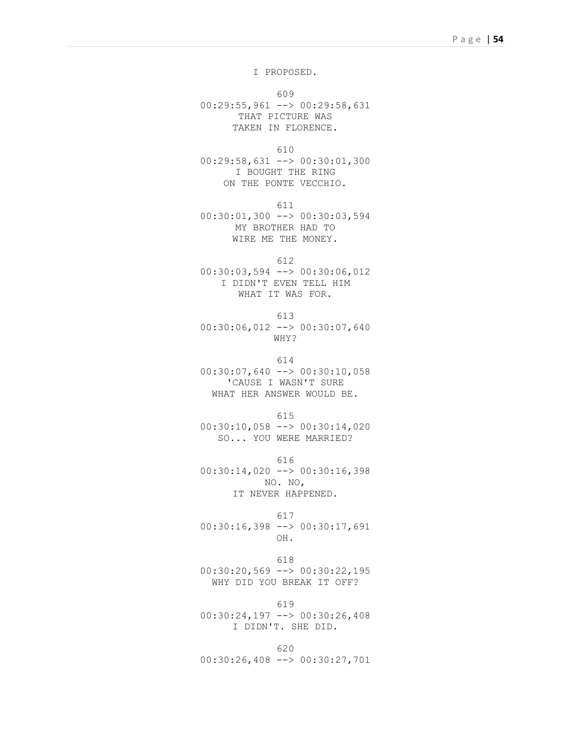I PROPOSED.

609 00:29:55,961 --> 00:29:58,631 THAT PICTURE WAS TAKEN IN FLORENCE.

610

00:29:58,631 --> 00:30:01,300 I BOUGHT THE RING ON THE PONTE VECCHIO.

611

00:30:01,300 --> 00:30:03,594 MY BROTHER HAD TO WIRE ME THE MONEY.

612 00:30:03,594 --> 00:30:06,012 I DIDN'T EVEN TELL HIM WHAT IT WAS FOR.

613

00:30:06,012 --> 00:30:07,640 WHY?

614

 $00:30:07,640$  -->  $00:30:10,058$ 'CAUSE I WASN'T SURE WHAT HER ANSWER WOULD BE.

615

00:30:10,058 --> 00:30:14,020 SO... YOU WERE MARRIED?

616 00:30:14,020 --> 00:30:16,398 NO. NO, IT NEVER HAPPENED.

617

00:30:16,398 --> 00:30:17,691 OH.

618 00:30:20,569 --> 00:30:22,195 WHY DID YOU BREAK IT OFF?

619 00:30:24,197 --> 00:30:26,408 I DIDN'T. SHE DID.

620 00:30:26,408 --> 00:30:27,701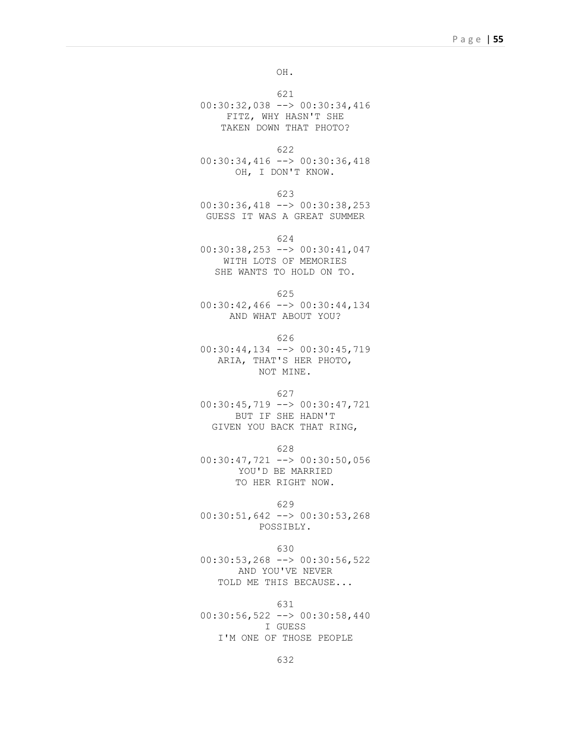OH.

621

00:30:32,038 --> 00:30:34,416 FITZ, WHY HASN'T SHE TAKEN DOWN THAT PHOTO?

622

00:30:34,416 --> 00:30:36,418 OH, I DON'T KNOW.

623

00:30:36,418 --> 00:30:38,253 GUESS IT WAS A GREAT SUMMER

624

00:30:38,253 --> 00:30:41,047 WITH LOTS OF MEMORIES SHE WANTS TO HOLD ON TO.

625

00:30:42,466 --> 00:30:44,134 AND WHAT ABOUT YOU?

626

00:30:44,134 --> 00:30:45,719 ARIA, THAT'S HER PHOTO, NOT MINE.

627

00:30:45,719 --> 00:30:47,721 BUT IF SHE HADN'T GIVEN YOU BACK THAT RING,

628

00:30:47,721 --> 00:30:50,056 YOU'D BE MARRIED TO HER RIGHT NOW.

629

00:30:51,642 --> 00:30:53,268 POSSIBLY.

630

00:30:53,268 --> 00:30:56,522 AND YOU'VE NEVER TOLD ME THIS BECAUSE...

631

00:30:56,522 --> 00:30:58,440 I GUESS I'M ONE OF THOSE PEOPLE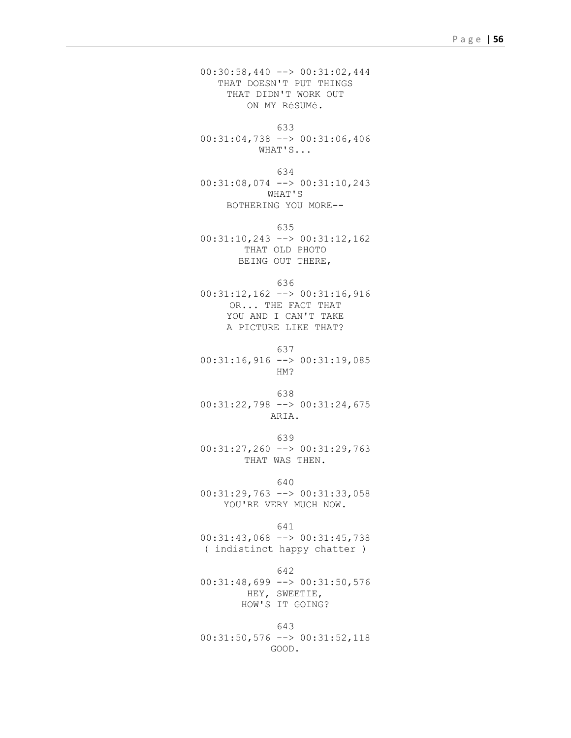00:30:58,440 --> 00:31:02,444 THAT DOESN'T PUT THINGS THAT DIDN'T WORK OUT ON MY RéSUMé.

633

00:31:04,738 --> 00:31:06,406 WHAT'S...

634 00:31:08,074 --> 00:31:10,243 WHAT'S BOTHERING YOU MORE--

635 00:31:10,243 --> 00:31:12,162 THAT OLD PHOTO BEING OUT THERE,

636

00:31:12,162 --> 00:31:16,916 OR... THE FACT THAT YOU AND I CAN'T TAKE A PICTURE LIKE THAT?

637

00:31:16,916 --> 00:31:19,085 HM?

638

00:31:22,798 --> 00:31:24,675 ARIA.

639

00:31:27,260 --> 00:31:29,763 THAT WAS THEN.

640

00:31:29,763 --> 00:31:33,058 YOU'RE VERY MUCH NOW.

641

00:31:43,068 --> 00:31:45,738 ( indistinct happy chatter )

642

00:31:48,699 --> 00:31:50,576 HEY, SWEETIE, HOW'S IT GOING?

643 00:31:50,576 --> 00:31:52,118 GOOD.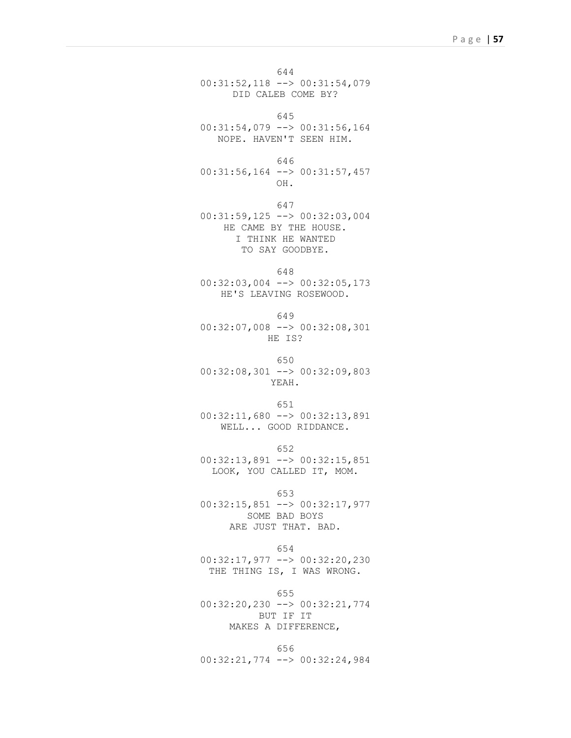644 00:31:52,118 --> 00:31:54,079 DID CALEB COME BY?

```
645
```
00:31:54,079 --> 00:31:56,164 NOPE. HAVEN'T SEEN HIM.

646

00:31:56,164 --> 00:31:57,457 OH.

647

00:31:59,125 --> 00:32:03,004 HE CAME BY THE HOUSE. I THINK HE WANTED TO SAY GOODBYE.

```
648
```
00:32:03,004 --> 00:32:05,173 HE'S LEAVING ROSEWOOD.

649

00:32:07,008 --> 00:32:08,301 HE IS?

650

00:32:08,301 --> 00:32:09,803 YEAH.

651

00:32:11,680 --> 00:32:13,891 WELL... GOOD RIDDANCE.

652 00:32:13,891 --> 00:32:15,851 LOOK, YOU CALLED IT, MOM.

653 00:32:15,851 --> 00:32:17,977 SOME BAD BOYS ARE JUST THAT. BAD.

654 00:32:17,977 --> 00:32:20,230 THE THING IS, I WAS WRONG.

655 00:32:20,230 --> 00:32:21,774 BUT IF IT MAKES A DIFFERENCE,

656 00:32:21,774 --> 00:32:24,984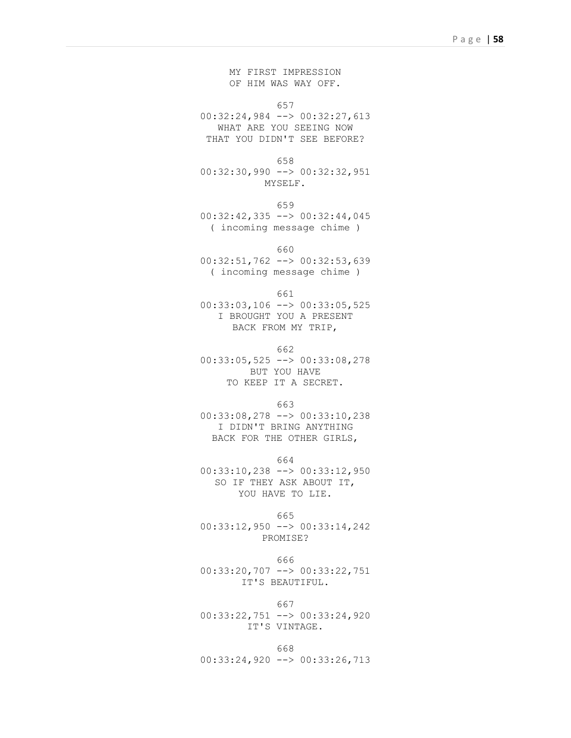MY FIRST IMPRESSION OF HIM WAS WAY OFF.

657

00:32:24,984 --> 00:32:27,613 WHAT ARE YOU SEEING NOW THAT YOU DIDN'T SEE BEFORE?

658

00:32:30,990 --> 00:32:32,951 MYSELF.

659

00:32:42,335 --> 00:32:44,045 ( incoming message chime )

660

00:32:51,762 --> 00:32:53,639 ( incoming message chime )

661

00:33:03,106 --> 00:33:05,525 I BROUGHT YOU A PRESENT BACK FROM MY TRIP,

662

00:33:05,525 --> 00:33:08,278 BUT YOU HAVE TO KEEP IT A SECRET.

663

00:33:08,278 --> 00:33:10,238 I DIDN'T BRING ANYTHING BACK FOR THE OTHER GIRLS,

664

00:33:10,238 --> 00:33:12,950 SO IF THEY ASK ABOUT IT, YOU HAVE TO LIE.

665

00:33:12,950 --> 00:33:14,242 PROMISE?

666

00:33:20,707 --> 00:33:22,751 IT'S BEAUTIFUL.

667

00:33:22,751 --> 00:33:24,920 IT'S VINTAGE.

668 00:33:24,920 --> 00:33:26,713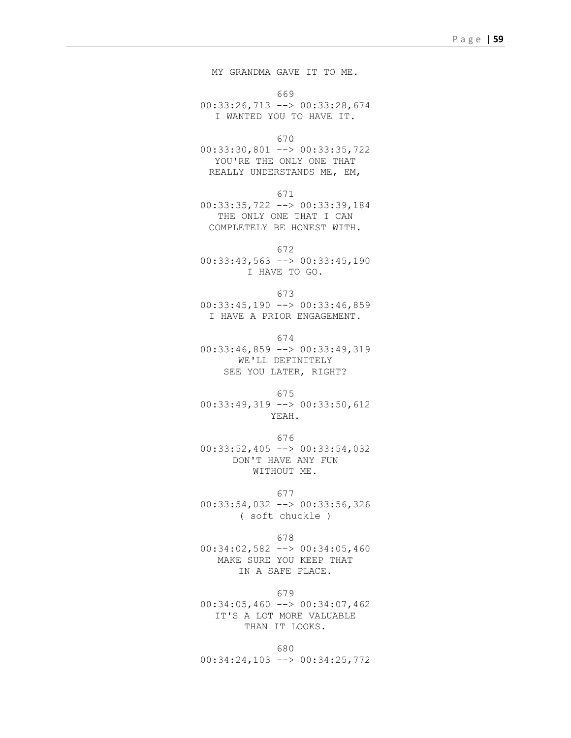MY GRANDMA GAVE IT TO ME.

669

00:33:26,713 --> 00:33:28,674 I WANTED YOU TO HAVE IT.

670

00:33:30,801 --> 00:33:35,722 YOU'RE THE ONLY ONE THAT REALLY UNDERSTANDS ME, EM,

671

00:33:35,722 --> 00:33:39,184 THE ONLY ONE THAT I CAN COMPLETELY BE HONEST WITH.

672

00:33:43,563 --> 00:33:45,190 I HAVE TO GO.

673

00:33:45,190 --> 00:33:46,859 I HAVE A PRIOR ENGAGEMENT.

674 00:33:46,859 --> 00:33:49,319 WE'LL DEFINITELY SEE YOU LATER, RIGHT?

675 00:33:49,319 --> 00:33:50,612 YEAH.

676 00:33:52,405 --> 00:33:54,032 DON'T HAVE ANY FUN WITHOUT ME.

677 00:33:54,032 --> 00:33:56,326 ( soft chuckle )

678

00:34:02,582 --> 00:34:05,460 MAKE SURE YOU KEEP THAT IN A SAFE PLACE.

679

00:34:05,460 --> 00:34:07,462 IT'S A LOT MORE VALUABLE THAN IT LOOKS.

680 00:34:24,103 --> 00:34:25,772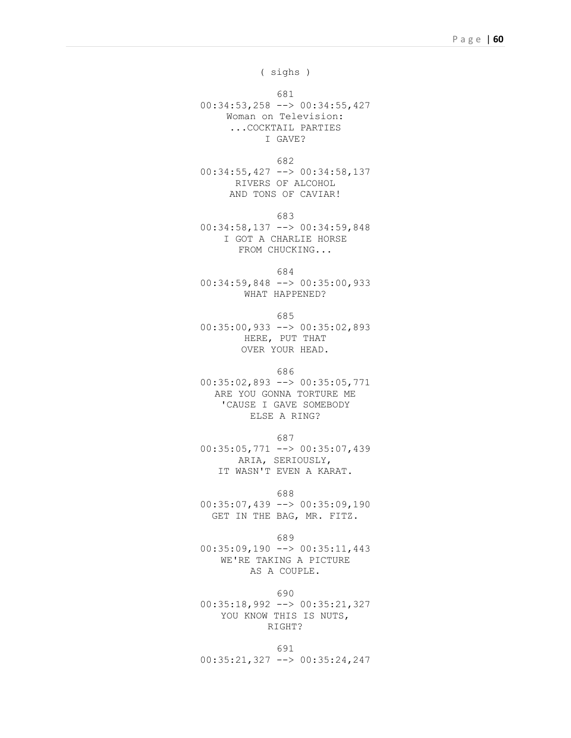( sighs )

681

00:34:53,258 --> 00:34:55,427 Woman on Television: ...COCKTAIL PARTIES I GAVE?

682

00:34:55,427 --> 00:34:58,137 RIVERS OF ALCOHOL AND TONS OF CAVIAR!

683

00:34:58,137 --> 00:34:59,848 I GOT A CHARLIE HORSE FROM CHUCKING...

684

00:34:59,848 --> 00:35:00,933 WHAT HAPPENED?

685

00:35:00,933 --> 00:35:02,893 HERE, PUT THAT OVER YOUR HEAD.

686

00:35:02,893 --> 00:35:05,771 ARE YOU GONNA TORTURE ME 'CAUSE I GAVE SOMEBODY ELSE A RING?

687

00:35:05,771 --> 00:35:07,439 ARIA, SERIOUSLY, IT WASN'T EVEN A KARAT.

688

00:35:07,439 --> 00:35:09,190 GET IN THE BAG, MR. FITZ.

689

00:35:09,190 --> 00:35:11,443 WE'RE TAKING A PICTURE AS A COUPLE.

690

00:35:18,992 --> 00:35:21,327 YOU KNOW THIS IS NUTS, RIGHT?

691 00:35:21,327 --> 00:35:24,247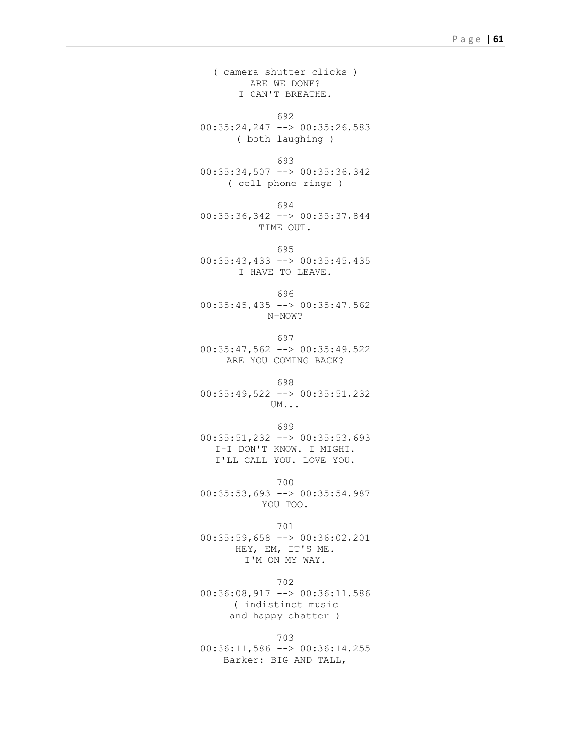( camera shutter clicks ) ARE WE DONE? I CAN'T BREATHE.

692 00:35:24,247 --> 00:35:26,583 ( both laughing )

693 00:35:34,507 --> 00:35:36,342 ( cell phone rings )

694 00:35:36,342 --> 00:35:37,844 TIME OUT.

695 00:35:43,433 --> 00:35:45,435 I HAVE TO LEAVE.

696 00:35:45,435 --> 00:35:47,562 N-NOW?

697 00:35:47,562 --> 00:35:49,522 ARE YOU COMING BACK?

698 00:35:49,522 --> 00:35:51,232 UM...

699 00:35:51,232 --> 00:35:53,693 I-I DON'T KNOW. I MIGHT. I'LL CALL YOU. LOVE YOU.

700 00:35:53,693 --> 00:35:54,987 YOU TOO.

701 00:35:59,658 --> 00:36:02,201 HEY, EM, IT'S ME. I'M ON MY WAY.

702 00:36:08,917 --> 00:36:11,586 ( indistinct music and happy chatter )

703 00:36:11,586 --> 00:36:14,255 Barker: BIG AND TALL,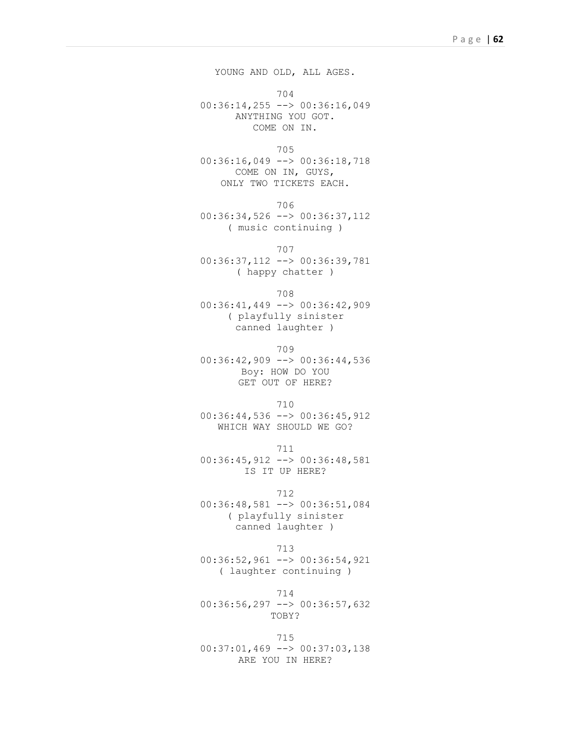YOUNG AND OLD, ALL AGES. 704 00:36:14,255 --> 00:36:16,049 ANYTHING YOU GOT. COME ON IN. 705 00:36:16,049 --> 00:36:18,718 COME ON IN, GUYS, ONLY TWO TICKETS EACH. 706 00:36:34,526 --> 00:36:37,112 ( music continuing ) 707 00:36:37,112 --> 00:36:39,781 ( happy chatter ) 708 00:36:41,449 --> 00:36:42,909 ( playfully sinister canned laughter ) 709 00:36:42,909 --> 00:36:44,536 Boy: HOW DO YOU GET OUT OF HERE? 710 00:36:44,536 --> 00:36:45,912 WHICH WAY SHOULD WE GO? 711 00:36:45,912 --> 00:36:48,581 IS IT UP HERE? 712 00:36:48,581 --> 00:36:51,084 ( playfully sinister canned laughter ) 713 00:36:52,961 --> 00:36:54,921 ( laughter continuing ) 714 00:36:56,297 --> 00:36:57,632 TOBY?

715 00:37:01,469 --> 00:37:03,138 ARE YOU IN HERE?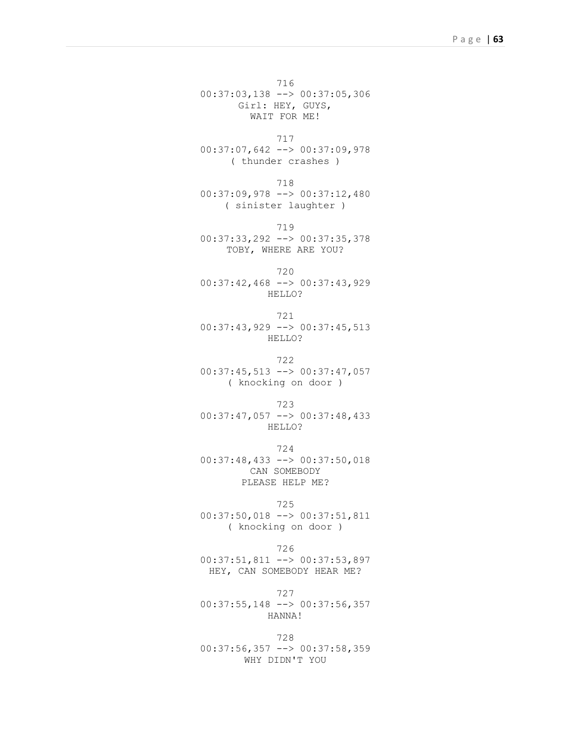716 00:37:03,138 --> 00:37:05,306 Girl: HEY, GUYS, WAIT FOR ME!

717 00:37:07,642 --> 00:37:09,978 ( thunder crashes )

718 00:37:09,978 --> 00:37:12,480 ( sinister laughter )

719 00:37:33,292 --> 00:37:35,378 TOBY, WHERE ARE YOU?

720 00:37:42,468 --> 00:37:43,929 HELLO?

721 00:37:43,929 --> 00:37:45,513 HELLO?

722 00:37:45,513 --> 00:37:47,057 ( knocking on door )

723 00:37:47,057 --> 00:37:48,433 HELLO?

724 00:37:48,433 --> 00:37:50,018 CAN SOMEBODY PLEASE HELP ME?

725 00:37:50,018 --> 00:37:51,811

( knocking on door )

726 00:37:51,811 --> 00:37:53,897 HEY, CAN SOMEBODY HEAR ME?

727 00:37:55,148 --> 00:37:56,357 HANNA!

728 00:37:56,357 --> 00:37:58,359 WHY DIDN'T YOU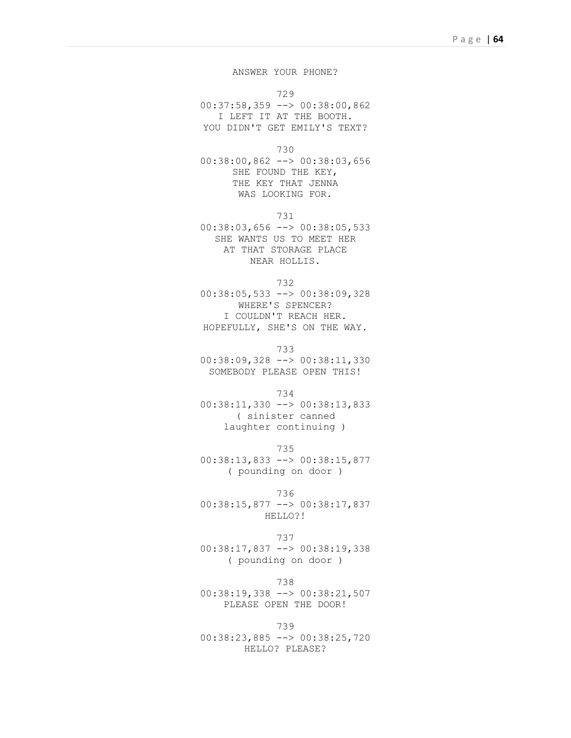## ANSWER YOUR PHONE?

729

00:37:58,359 --> 00:38:00,862 I LEFT IT AT THE BOOTH. YOU DIDN'T GET EMILY'S TEXT?

730

00:38:00,862 --> 00:38:03,656 SHE FOUND THE KEY, THE KEY THAT JENNA WAS LOOKING FOR.

731

00:38:03,656 --> 00:38:05,533 SHE WANTS US TO MEET HER AT THAT STORAGE PLACE NEAR HOLLIS.

732

00:38:05,533 --> 00:38:09,328 WHERE'S SPENCER? I COULDN'T REACH HER. HOPEFULLY, SHE'S ON THE WAY.

733

00:38:09,328 --> 00:38:11,330 SOMEBODY PLEASE OPEN THIS!

734

00:38:11,330 --> 00:38:13,833 ( sinister canned laughter continuing )

735 00:38:13,833 --> 00:38:15,877 ( pounding on door )

736 00:38:15,877 --> 00:38:17,837 HELLO?!

737 00:38:17,837 --> 00:38:19,338 ( pounding on door )

738 00:38:19,338 --> 00:38:21,507 PLEASE OPEN THE DOOR!

739 00:38:23,885 --> 00:38:25,720 HELLO? PLEASE?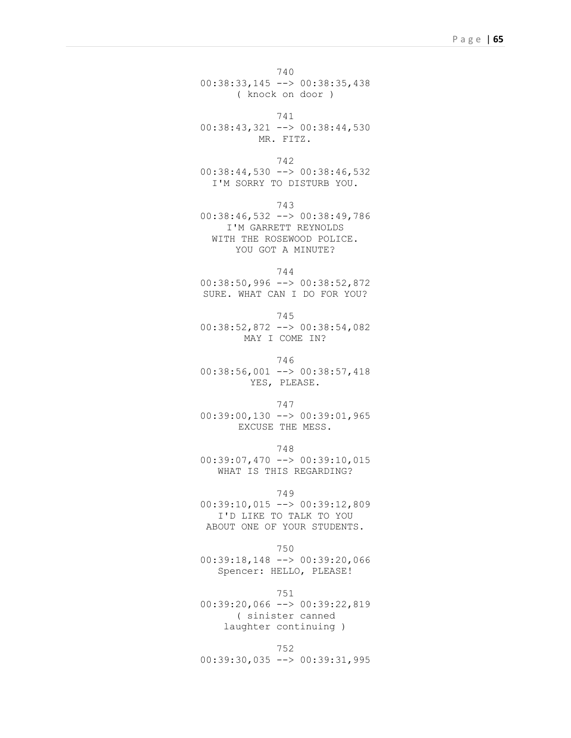740 00:38:33,145 --> 00:38:35,438 ( knock on door )

741 00:38:43,321 --> 00:38:44,530 MR. FITZ.

742  $00:38:44,530$  -->  $00:38:46,532$ I'M SORRY TO DISTURB YOU.

743

00:38:46,532 --> 00:38:49,786 I'M GARRETT REYNOLDS WITH THE ROSEWOOD POLICE. YOU GOT A MINUTE?

744

00:38:50,996 --> 00:38:52,872 SURE. WHAT CAN I DO FOR YOU?

745

00:38:52,872 --> 00:38:54,082 MAY I COME IN?

746

00:38:56,001 --> 00:38:57,418 YES, PLEASE.

747 00:39:00,130 --> 00:39:01,965

EXCUSE THE MESS.

748 00:39:07,470 --> 00:39:10,015 WHAT IS THIS REGARDING?

749

00:39:10,015 --> 00:39:12,809 I'D LIKE TO TALK TO YOU ABOUT ONE OF YOUR STUDENTS.

750

00:39:18,148 --> 00:39:20,066 Spencer: HELLO, PLEASE!

751

00:39:20,066 --> 00:39:22,819 ( sinister canned laughter continuing )

752 00:39:30,035 --> 00:39:31,995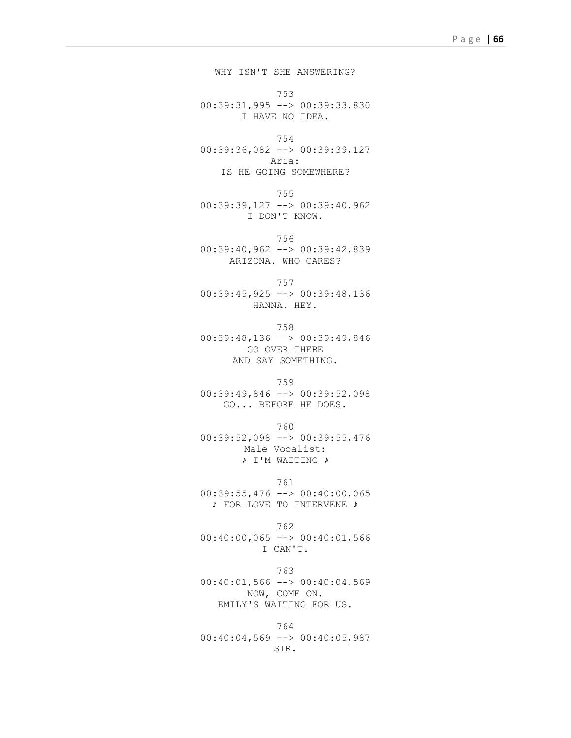WHY ISN'T SHE ANSWERING? 753 00:39:31,995 --> 00:39:33,830 I HAVE NO IDEA. 754 00:39:36,082 --> 00:39:39,127 Aria: IS HE GOING SOMEWHERE? 755 00:39:39,127 --> 00:39:40,962 I DON'T KNOW. 756 00:39:40,962 --> 00:39:42,839 ARIZONA. WHO CARES? 757 00:39:45,925 --> 00:39:48,136 HANNA. HEY. 758 00:39:48,136 --> 00:39:49,846 GO OVER THERE AND SAY SOMETHING. 759 00:39:49,846 --> 00:39:52,098 GO... BEFORE HE DOES. 760 00:39:52,098 --> 00:39:55,476 Male Vocalist:

♪ I'M WAITING ♪

761  $00:39:55,476$  -->  $00:40:00,065$ 

♪ FOR LOVE TO INTERVENE ♪

762 00:40:00,065 --> 00:40:01,566 I CAN'T.

763 00:40:01,566 --> 00:40:04,569 NOW, COME ON. EMILY'S WAITING FOR US.

764 00:40:04,569 --> 00:40:05,987 SIR.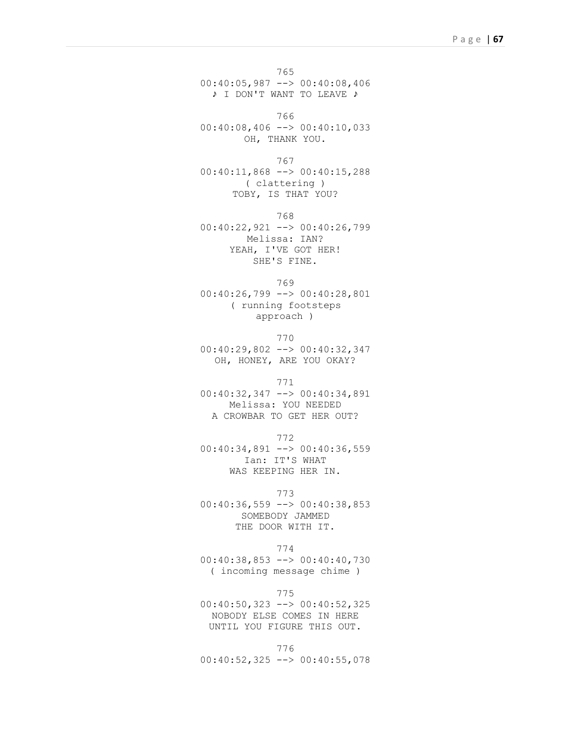765 00:40:05,987 --> 00:40:08,406 ♪ I DON'T WANT TO LEAVE ♪

766 00:40:08,406 --> 00:40:10,033 OH, THANK YOU.

767 00:40:11,868 --> 00:40:15,288 ( clattering ) TOBY, IS THAT YOU?

768 00:40:22,921 --> 00:40:26,799 Melissa: IAN? YEAH, I'VE GOT HER! SHE'S FINE.

769 00:40:26,799 --> 00:40:28,801 ( running footsteps approach )

770 00:40:29,802 --> 00:40:32,347 OH, HONEY, ARE YOU OKAY?

771 00:40:32,347 --> 00:40:34,891 Melissa: YOU NEEDED A CROWBAR TO GET HER OUT?

772  $00:40:34,891$  -->  $00:40:36,559$ Ian: IT'S WHAT WAS KEEPING HER IN.

773  $00:40:36,559$  -->  $00:40:38,853$ SOMEBODY JAMMED THE DOOR WITH IT.

774 00:40:38,853 --> 00:40:40,730 ( incoming message chime )

775 00:40:50,323 --> 00:40:52,325 NOBODY ELSE COMES IN HERE UNTIL YOU FIGURE THIS OUT.

776 00:40:52,325 --> 00:40:55,078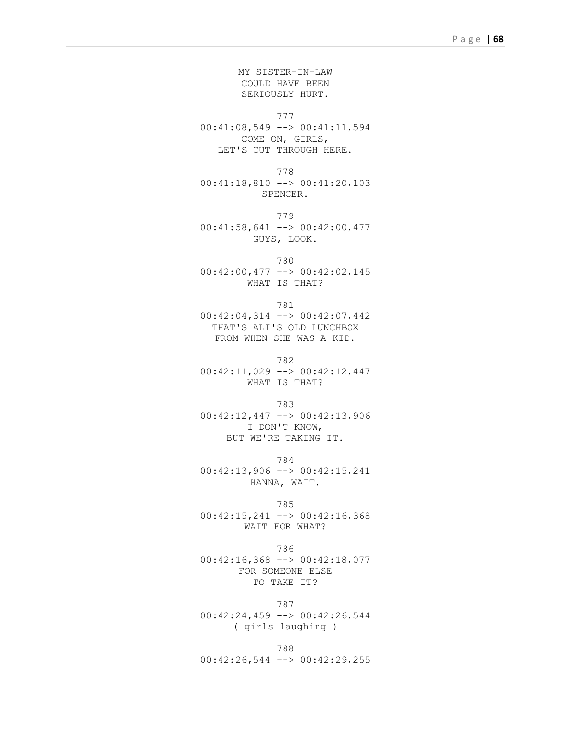MY SISTER-IN-LAW COULD HAVE BEEN SERIOUSLY HURT.

777

00:41:08,549 --> 00:41:11,594 COME ON, GIRLS, LET'S CUT THROUGH HERE.

778 00:41:18,810 --> 00:41:20,103 SPENCER.

779 00:41:58,641 --> 00:42:00,477 GUYS, LOOK.

780 00:42:00,477 --> 00:42:02,145 WHAT IS THAT?

781 00:42:04,314 --> 00:42:07,442 THAT'S ALI'S OLD LUNCHBOX FROM WHEN SHE WAS A KID.

782 00:42:11,029 --> 00:42:12,447 WHAT IS THAT?

783 00:42:12,447 --> 00:42:13,906 I DON'T KNOW, BUT WE'RE TAKING IT.

784 00:42:13,906 --> 00:42:15,241 HANNA, WAIT.

785 00:42:15,241 --> 00:42:16,368 WAIT FOR WHAT?

786 00:42:16,368 --> 00:42:18,077 FOR SOMEONE ELSE TO TAKE IT?

787 00:42:24,459 --> 00:42:26,544 ( girls laughing )

788 00:42:26,544 --> 00:42:29,255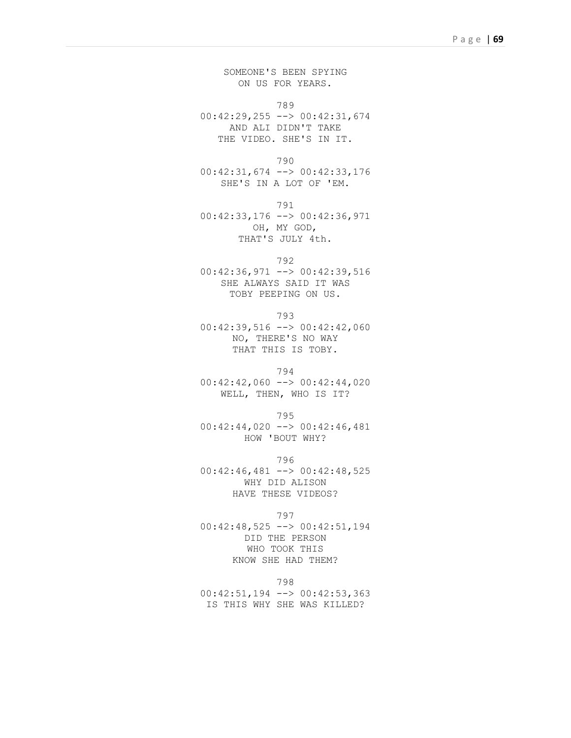SOMEONE'S BEEN SPYING ON US FOR YEARS.

789

00:42:29,255 --> 00:42:31,674 AND ALI DIDN'T TAKE THE VIDEO. SHE'S IN IT.

790

00:42:31,674 --> 00:42:33,176 SHE'S IN A LOT OF 'EM.

791

00:42:33,176 --> 00:42:36,971 OH, MY GOD, THAT'S JULY 4th.

792

00:42:36,971 --> 00:42:39,516 SHE ALWAYS SAID IT WAS TOBY PEEPING ON US.

793

00:42:39,516 --> 00:42:42,060 NO, THERE'S NO WAY THAT THIS IS TOBY.

794 00:42:42,060 --> 00:42:44,020 WELL, THEN, WHO IS IT?

795

00:42:44,020 --> 00:42:46,481 HOW 'BOUT WHY?

796 00:42:46,481 --> 00:42:48,525 WHY DID ALISON HAVE THESE VIDEOS?

797

00:42:48,525 --> 00:42:51,194 DID THE PERSON WHO TOOK THIS KNOW SHE HAD THEM?

798

00:42:51,194 --> 00:42:53,363 IS THIS WHY SHE WAS KILLED?